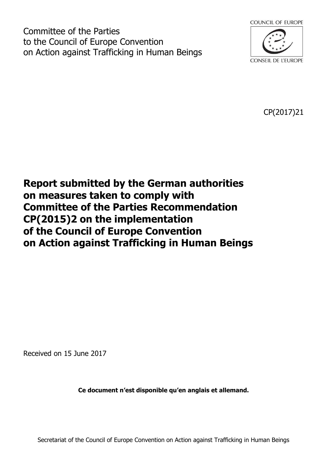Committee of the Parties to the Council of Europe Convention on Action against Trafficking in Human Beings



CP(2017)21

# **Report submitted by the German authorities on measures taken to comply with Committee of the Parties Recommendation CP(2015)2 on the implementation of the Council of Europe Convention on Action against Trafficking in Human Beings**

Received on 15 June 2017

**Ce document n'est disponible qu'en anglais et allemand.** 

Secretariat of the Council of Europe Convention on Action against Trafficking in Human Beings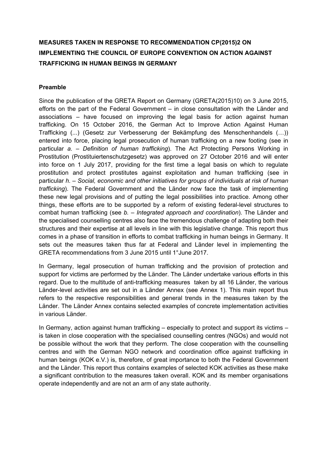## **MEASURES TAKEN IN RESPONSE TO RECOMMENDATION CP(2015)2 ON IMPLEMENTING THE COUNCIL OF EUROPE CONVENTION ON ACTION AGAINST TRAFFICKING IN HUMAN BEINGS IN GERMANY**

## **Preamble**

Since the publication of the GRETA Report on Germany (GRETA(2015)10) on 3 June 2015, efforts on the part of the Federal Government – in close consultation with the Länder and associations – have focused on improving the legal basis for action against human trafficking. On 15 October 2016, the German Act to Improve Action Against Human Trafficking (...) (Gesetz zur Verbesserung der Bekämpfung des Menschenhandels (…)) entered into force, placing legal prosecution of human trafficking on a new footing (see in particular *a. – Definition of human trafficking*). The Act Protecting Persons Working in Prostitution (Prostituiertenschutzgesetz) was approved on 27 October 2016 and will enter into force on 1 July 2017, providing for the first time a legal basis on which to regulate prostitution and protect prostitutes against exploitation and human trafficking (see in particular *h. – Social, economic and other initiatives for groups of individuals at risk of human trafficking*). The Federal Government and the Länder now face the task of implementing these new legal provisions and of putting the legal possibilities into practice. Among other things, these efforts are to be supported by a reform of existing federal-level structures to combat human trafficking (see *b. – Integrated approach and coordination*). The Länder and the specialised counselling centres also face the tremendous challenge of adapting both their structures and their expertise at all levels in line with this legislative change. This report thus comes in a phase of transition in efforts to combat trafficking in human beings in Germany. It sets out the measures taken thus far at Federal and Länder level in implementing the GRETA recommendations from 3 June 2015 until 1°June 2017.

In Germany, legal prosecution of human trafficking and the provision of protection and support for victims are performed by the Länder. The Länder undertake various efforts in this regard. Due to the multitude of anti-trafficking measures taken by all 16 Länder, the various Länder-level activities are set out in a Länder Annex (see Annex 1). This main report thus refers to the respective responsibilities and general trends in the measures taken by the Länder. The Länder Annex contains selected examples of concrete implementation activities in various Länder.

In Germany, action against human trafficking – especially to protect and support its victims – is taken in close cooperation with the specialised counselling centres (NGOs) and would not be possible without the work that they perform. The close cooperation with the counselling centres and with the German NGO network and coordination office against trafficking in human beings (KOK e.V.) is, therefore, of great importance to both the Federal Government and the Länder. This report thus contains examples of selected KOK activities as these make a significant contribution to the measures taken overall. KOK and its member organisations operate independently and are not an arm of any state authority.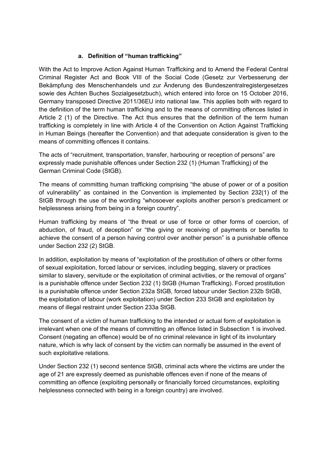## **a. Definition of "human trafficking"**

With the Act to Improve Action Against Human Trafficking and to Amend the Federal Central Criminal Register Act and Book VIII of the Social Code (Gesetz zur Verbesserung der Bekämpfung des Menschenhandels und zur Änderung des Bundeszentralregistergesetzes sowie des Achten Buches Sozialgesetzbuch), which entered into force on 15 October 2016, Germany transposed Directive 2011/36EU into national law. This applies both with regard to the definition of the term human trafficking and to the means of committing offences listed in Article 2 (1) of the Directive. The Act thus ensures that the definition of the term human trafficking is completely in line with Article 4 of the Convention on Action Against Trafficking in Human Beings (hereafter the Convention) and that adequate consideration is given to the means of committing offences it contains.

The acts of "recruitment, transportation, transfer, harbouring or reception of persons" are expressly made punishable offences under Section 232 (1) (Human Trafficking) of the German Criminal Code (StGB).

The means of committing human trafficking comprising "the abuse of power or of a position of vulnerability" as contained in the Convention is implemented by Section 232(1) of the StGB through the use of the wording "whosoever exploits another person's predicament or helplessness arising from being in a foreign country".

Human trafficking by means of "the threat or use of force or other forms of coercion, of abduction, of fraud, of deception" or "the giving or receiving of payments or benefits to achieve the consent of a person having control over another person" is a punishable offence under Section 232 (2) StGB.

In addition, exploitation by means of "exploitation of the prostitution of others or other forms of sexual exploitation, forced labour or services, including begging, slavery or practices similar to slavery, servitude or the exploitation of criminal activities, or the removal of organs" is a punishable offence under Section 232 (1) StGB (Human Trafficking). Forced prostitution is a punishable offence under Section 232a StGB, forced labour under Section 232b StGB, the exploitation of labour (work exploitation) under Section 233 StGB and exploitation by means of illegal restraint under Section 233a StGB.

The consent of a victim of human trafficking to the intended or actual form of exploitation is irrelevant when one of the means of committing an offence listed in Subsection 1 is involved. Consent (negating an offence) would be of no criminal relevance in light of its involuntary nature, which is why lack of consent by the victim can normally be assumed in the event of such exploitative relations.

Under Section 232 (1) second sentence StGB, criminal acts where the victims are under the age of 21 are expressly deemed as punishable offences even if none of the means of committing an offence (exploiting personally or financially forced circumstances, exploiting helplessness connected with being in a foreign country) are involved.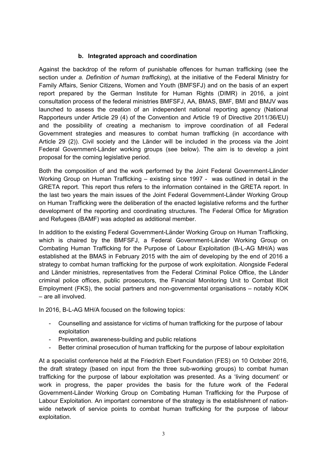## **b. Integrated approach and coordination**

Against the backdrop of the reform of punishable offences for human trafficking (see the section under *a. Definition of human trafficking*), at the initiative of the Federal Ministry for Family Affairs, Senior Citizens, Women and Youth (BMFSFJ) and on the basis of an expert report prepared by the German Institute for Human Rights (DIMR) in 2016, a joint consultation process of the federal ministries BMFSFJ, AA, BMAS, BMF, BMI and BMJV was launched to assess the creation of an independent national reporting agency (National Rapporteurs under Article 29 (4) of the Convention and Article 19 of Directive 2011/36/EU) and the possibility of creating a mechanism to improve coordination of all Federal Government strategies and measures to combat human trafficking (in accordance with Article 29 (2)). Civil society and the Länder will be included in the process via the Joint Federal Government-Länder working groups (see below). The aim is to develop a joint proposal for the coming legislative period.

Both the composition of and the work performed by the Joint Federal Government-Länder Working Group on Human Trafficking – existing since 1997 - was outlined in detail in the GRETA report. This report thus refers to the information contained in the GRETA report. In the last two years the main issues of the Joint Federal Government-Länder Working Group on Human Trafficking were the deliberation of the enacted legislative reforms and the further development of the reporting and coordinating structures. The Federal Office for Migration and Refugees (BAMF) was adopted as additional member.

In addition to the existing Federal Government-Länder Working Group on Human Trafficking, which is chaired by the BMFSFJ, a Federal Government-Länder Working Group on Combating Human Trafficking for the Purpose of Labour Exploitation (B-L-AG MH/A) was established at the BMAS in February 2015 with the aim of developing by the end of 2016 a strategy to combat human trafficking for the purpose of work exploitation. Alongside Federal and Länder ministries, representatives from the Federal Criminal Police Office, the Länder criminal police offices, public prosecutors, the Financial Monitoring Unit to Combat Illicit Employment (FKS), the social partners and non-governmental organisations – notably KOK – are all involved.

In 2016, B-L-AG MH/A focused on the following topics:

- Counselling and assistance for victims of human trafficking for the purpose of labour exploitation
- Prevention, awareness-building and public relations
- Better criminal prosecution of human trafficking for the purpose of labour exploitation

At a specialist conference held at the Friedrich Ebert Foundation (FES) on 10 October 2016, the draft strategy (based on input from the three sub-working groups) to combat human trafficking for the purpose of labour exploitation was presented. As a 'living document' or work in progress, the paper provides the basis for the future work of the Federal Government-Länder Working Group on Combating Human Trafficking for the Purpose of Labour Exploitation. An important cornerstone of the strategy is the establishment of nationwide network of service points to combat human trafficking for the purpose of labour exploitation.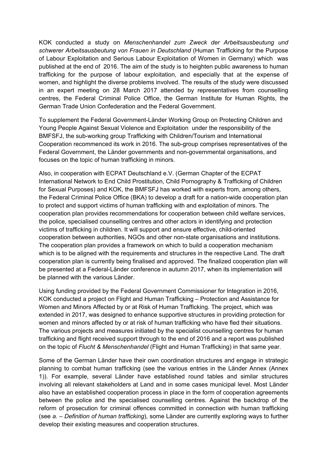KOK conducted a study on *Menschenhandel zum Zweck der Arbeitsausbeutung und schwerer Arbeitsausbeutung von Frauen in Deutschland* (Human Trafficking for the Purpose of Labour Exploitation and Serious Labour Exploitation of Women in Germany) which was published at the end of 2016. The aim of the study is to heighten public awareness to human trafficking for the purpose of labour exploitation, and especially that at the expense of women, and highlight the diverse problems involved. The results of the study were discussed in an expert meeting on 28 March 2017 attended by representatives from counselling centres, the Federal Criminal Police Office, the German Institute for Human Rights, the German Trade Union Confederation and the Federal Government.

To supplement the Federal Government-Länder Working Group on Protecting Children and Young People Against Sexual Violence and Exploitation under the responsibility of the BMFSFJ, the sub-working group Trafficking with Children/Tourism and International Cooperation recommenced its work in 2016. The sub-group comprises representatives of the Federal Government, the Länder governments and non-governmental organisations, and focuses on the topic of human trafficking in minors.

Also, in cooperation with ECPAT Deutschland e.V. (German Chapter of the ECPAT International Network to End Child Prostitution, Child Pornography & Trafficking of Children for Sexual Purposes) and KOK, the BMFSFJ has worked with experts from, among others, the Federal Criminal Police Office (BKA) to develop a draft for a nation-wide cooperation plan to protect and support victims of human trafficking with and exploitation of minors. The cooperation plan provides recommendations for cooperation between child welfare services, the police, specialised counselling centres and other actors in identifying and protection victims of trafficking in children. It will support and ensure effective, child-oriented cooperation between authorities, NGOs and other non-state organisations and institutions. The cooperation plan provides a framework on which to build a cooperation mechanism which is to be aligned with the requirements and structures in the respective Land. The draft cooperation plan is currently being finalised and approved. The finalized cooperation plan will be presented at a Federal-Länder conference in autumn 2017, when its implementation will be planned with the various Länder.

Using funding provided by the Federal Government Commissioner for Integration in 2016, KOK conducted a project on Flight and Human Trafficking – Protection and Assistance for Women and Minors Affected by or at Risk of Human Trafficking. The project, which was extended in 2017, was designed to enhance supportive structures in providing protection for women and minors affected by or at risk of human trafficking who have fled their situations. The various projects and measures initiated by the specialist counselling centres for human trafficking and flight received support through to the end of 2016 and a report was published on the topic of *Flucht & Menschenhandel* (Flight and Human Trafficking) in that same year.

Some of the German Länder have their own coordination structures and engage in strategic planning to combat human trafficking (see the various entries in the Länder Annex (Annex 1)). For example, several Länder have established round tables and similar structures involving all relevant stakeholders at Land and in some cases municipal level. Most Länder also have an established cooperation process in place in the form of cooperation agreements between the police and the specialised counselling centres. Against the backdrop of the reform of prosecution for criminal offences committed in connection with human trafficking (see *a. – Definition of human trafficking*), some Länder are currently exploring ways to further develop their existing measures and cooperation structures.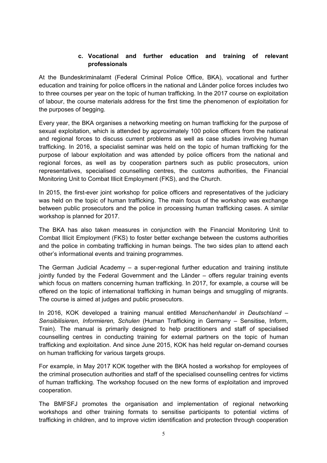## **c. Vocational and further education and training of relevant professionals**

At the Bundeskriminalamt (Federal Criminal Police Office, BKA), vocational and further education and training for police officers in the national and Länder police forces includes two to three courses per year on the topic of human trafficking. In the 2017 course on exploitation of labour, the course materials address for the first time the phenomenon of exploitation for the purposes of begging.

Every year, the BKA organises a networking meeting on human trafficking for the purpose of sexual exploitation, which is attended by approximately 100 police officers from the national and regional forces to discuss current problems as well as case studies involving human trafficking. In 2016, a specialist seminar was held on the topic of human trafficking for the purpose of labour exploitation and was attended by police officers from the national and regional forces, as well as by cooperation partners such as public prosecutors, union representatives, specialised counselling centres, the customs authorities, the Financial Monitoring Unit to Combat Illicit Employment (FKS), and the Church.

In 2015, the first-ever joint workshop for police officers and representatives of the judiciary was held on the topic of human trafficking. The main focus of the workshop was exchange between public prosecutors and the police in processing human trafficking cases. A similar workshop is planned for 2017.

The BKA has also taken measures in conjunction with the Financial Monitoring Unit to Combat Illicit Employment (FKS) to foster better exchange between the customs authorities and the police in combating trafficking in human beings. The two sides plan to attend each other's informational events and training programmes.

The German Judicial Academy – a super-regional further education and training institute jointly funded by the Federal Government and the Länder – offers regular training events which focus on matters concerning human trafficking. In 2017, for example, a course will be offered on the topic of international trafficking in human beings and smuggling of migrants. The course is aimed at judges and public prosecutors.

In 2016, KOK developed a training manual entitled *Menschenhandel in Deutschland – Sensibilisieren, Informieren, Schulen* (Human Trafficking in Germany – Sensitise, Inform, Train). The manual is primarily designed to help practitioners and staff of specialised counselling centres in conducting training for external partners on the topic of human trafficking and exploitation. And since June 2015, KOK has held regular on-demand courses on human trafficking for various targets groups.

For example, in May 2017 KOK together with the BKA hosted a workshop for employees of the criminal prosecution authorities and staff of the specialised counselling centres for victims of human trafficking. The workshop focused on the new forms of exploitation and improved cooperation.

The BMFSFJ promotes the organisation and implementation of regional networking workshops and other training formats to sensitise participants to potential victims of trafficking in children, and to improve victim identification and protection through cooperation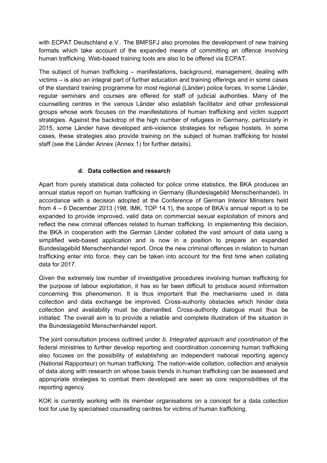with ECPAT Deutschland e.V.. The BMFSFJ also promotes the development of new training formats which take account of the expanded means of committing an offence involving human trafficking. Web-based training tools are also to be offered via ECPAT.

The subject of human trafficking – manifestations, background, management, dealing with victims – is also an integral part of further education and training offerings and in some cases of the standard training programme for most regional (Länder) police forces. In some Länder, regular seminars and courses are offered for staff of judicial authorities. Many of the counselling centres in the various Länder also establish facilitator and other professional groups whose work focuses on the manifestations of human trafficking and victim support strategies. Against the backdrop of the high number of refugees in Germany, particularly in 2015, some Länder have developed anti-violence strategies for refugee hostels. In some cases, these strategies also provide training on the subject of human trafficking for hostel staff (see the Länder Annex (Annex 1) for further details).

## **d. Data collection and research**

Apart from purely statistical data collected for police crime statistics, the BKA produces an annual status report on human trafficking in Germany (Bundeslagebild Menschenhandel). In accordance with a decision adopted at the Conference of German Interior Ministers held from 4 – 6 December 2013 (198. IMK, TOP 14.1), the scope of BKA's annual report is to be expanded to provide improved, valid data on commercial sexual exploitation of minors and reflect the new criminal offences related to human trafficking. In implementing this decision, the BKA in cooperation with the German Länder collated the vast amount of data using a simplified web-based application and is now in a position to prepare an expanded Bundeslagebild Menschenhandel report. Once the new criminal offences in relation to human trafficking enter into force, they can be taken into account for the first time when collating data for 2017.

Given the extremely low number of investigative procedures involving human trafficking for the purpose of labour exploitation, it has so far been difficult to produce sound information concerning this phenomenon. It is thus important that the mechanisms used in data collection and data exchange be improved. Cross-authority obstacles which hinder data collection and availability must be dismantled. Cross-authority dialogue must thus be initiated. The overall aim is to provide a reliable and complete illustration of the situation in the Bundeslagebild Menschenhandel report.

The joint consultation process outlined under *b. Integrated approach and coordination* of the federal ministries to further develop reporting and coordination concerning human trafficking also focuses on the possibility of establishing an independent national reporting agency (National Rapporteur) on human trafficking. The nation-wide collation, collection and analysis of data along with research on whose basis trends in human trafficking can be assessed and appropriate strategies to combat them developed are seen as core responsibilities of the reporting agency.

KOK is currently working with its member organisations on a concept for a data collection tool for use by specialised counselling centres for victims of human trafficking.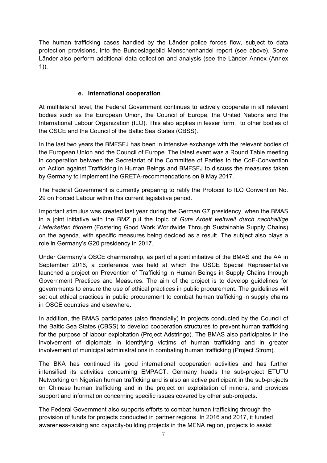The human trafficking cases handled by the Länder police forces flow, subject to data protection provisions, into the Bundeslagebild Menschenhandel report (see above). Some Länder also perform additional data collection and analysis (see the Länder Annex (Annex 1)).

## **e. International cooperation**

At multilateral level, the Federal Government continues to actively cooperate in all relevant bodies such as the European Union, the Council of Europe, the United Nations and the International Labour Organization (ILO). This also applies in lesser form, to other bodies of the OSCE and the Council of the Baltic Sea States (CBSS).

In the last two years the BMFSFJ has been in intensive exchange with the relevant bodies of the European Union and the Council of Europe. The latest event was a Round Table meeting in cooperation between the Secretariat of the Committee of Parties to the CoE-Convention on Action against Trafficking in Human Beings and BMFSFJ to discuss the measures taken by Germany to implement the GRETA-recommendations on 9 May 2017.

The Federal Government is currently preparing to ratify the Protocol to ILO Convention No. 29 on Forced Labour within this current legislative period.

Important stimulus was created last year during the German G7 presidency, when the BMAS in a joint initiative with the BMZ put the topic of *Gute Arbeit weltweit durch nachhaltige Lieferketten fördern* (Fostering Good Work Worldwide Through Sustainable Supply Chains) on the agenda, with specific measures being decided as a result. The subject also plays a role in Germany's G20 presidency in 2017.

Under Germany's OSCE chairmanship, as part of a joint initiative of the BMAS and the AA in September 2016, a conference was held at which the OSCE Special Representative launched a project on Prevention of Trafficking in Human Beings in Supply Chains through Government Practices and Measures. The aim of the project is to develop guidelines for governments to ensure the use of ethical practices in public procurement. The guidelines will set out ethical practices in public procurement to combat human trafficking in supply chains in OSCE countries and elsewhere.

In addition, the BMAS participates (also financially) in projects conducted by the Council of the Baltic Sea States (CBSS) to develop cooperation structures to prevent human trafficking for the purpose of labour exploitation (Project Adstringo). The BMAS also participates in the involvement of diplomats in identifying victims of human trafficking and in greater involvement of municipal administrations in combating human trafficking (Project Strom).

The BKA has continued its good international cooperation activities and has further intensified its activities concerning EMPACT. Germany heads the sub-project ETUTU Networking on Nigerian human trafficking and is also an active participant in the sub-projects on Chinese human trafficking and in the project on exploitation of minors, and provides support and information concerning specific issues covered by other sub-projects.

The Federal Government also supports efforts to combat human trafficking through the provision of funds for projects conducted in partner regions. In 2016 and 2017, it funded awareness-raising and capacity-building projects in the MENA region, projects to assist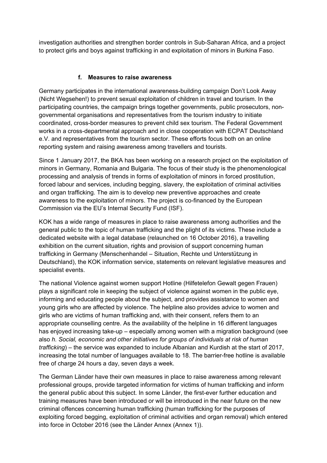investigation authorities and strengthen border controls in Sub-Saharan Africa, and a project to protect girls and boys against trafficking in and exploitation of minors in Burkina Faso.

## **f. Measures to raise awareness**

Germany participates in the international awareness-building campaign Don't Look Away (Nicht Wegsehen!) to prevent sexual exploitation of children in travel and tourism. In the participating countries, the campaign brings together governments, public prosecutors, nongovernmental organisations and representatives from the tourism industry to initiate coordinated, cross-border measures to prevent child sex tourism. The Federal Government works in a cross-departmental approach and in close cooperation with ECPAT Deutschland e.V. and representatives from the tourism sector. These efforts focus both on an online reporting system and raising awareness among travellers and tourists.

Since 1 January 2017, the BKA has been working on a research project on the exploitation of minors in Germany, Romania and Bulgaria. The focus of their study is the phenomenological processing and analysis of trends in forms of exploitation of minors in forced prostitution, forced labour and services, including begging, slavery, the exploitation of criminal activities and organ trafficking. The aim is to develop new preventive approaches and create awareness to the exploitation of minors. The project is co-financed by the European Commission via the EU's Internal Security Fund (ISF).

KOK has a wide range of measures in place to raise awareness among authorities and the general public to the topic of human trafficking and the plight of its victims. These include a dedicated website with a legal database (relaunched on 16 October 2016), a travelling exhibition on the current situation, rights and provision of support concerning human trafficking in Germany (Menschenhandel – Situation, Rechte und Unterstützung in Deutschland), the KOK information service, statements on relevant legislative measures and specialist events.

The national Violence against women support Hotline (Hilfetelefon Gewalt gegen Frauen) plays a significant role in keeping the subject of violence against women in the public eye, informing and educating people about the subject, and provides assistance to women and young girls who are affected by violence. The helpline also provides advice to women and girls who are victims of human trafficking and, with their consent, refers them to an appropriate counselling centre. As the availability of the helpline in 16 different languages has enjoyed increasing take-up – especially among women with a migration background (see also *h. Social, economic and other initiatives for groups of individuals at risk of human trafficking*) – the service was expanded to include Albanian and Kurdish at the start of 2017, increasing the total number of languages available to 18. The barrier-free hotline is available free of charge 24 hours a day, seven days a week.

The German Länder have their own measures in place to raise awareness among relevant professional groups, provide targeted information for victims of human trafficking and inform the general public about this subject. In some Länder, the first-ever further education and training measures have been introduced or will be introduced in the near future on the new criminal offences concerning human trafficking (human trafficking for the purposes of exploiting forced begging, exploitation of criminal activities and organ removal) which entered into force in October 2016 (see the Länder Annex (Annex 1)).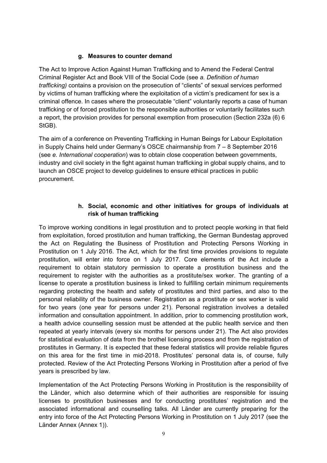## **g. Measures to counter demand**

The Act to Improve Action Against Human Trafficking and to Amend the Federal Central Criminal Register Act and Book VIII of the Social Code (see *a. Definition of human trafficking)* contains a provision on the prosecution of "clients" of sexual services performed by victims of human trafficking where the exploitation of a victim's predicament for sex is a criminal offence. In cases where the prosecutable "client" voluntarily reports a case of human trafficking or of forced prostitution to the responsible authorities or voluntarily facilitates such a report, the provision provides for personal exemption from prosecution (Section 232a (6) 6 StGB).

The aim of a conference on Preventing Trafficking in Human Beings for Labour Exploitation in Supply Chains held under Germany's OSCE chairmanship from 7 – 8 September 2016 (see *e. International cooperation*) was to obtain close cooperation between governments, industry and civil society in the fight against human trafficking in global supply chains, and to launch an OSCE project to develop guidelines to ensure ethical practices in public procurement.

## **h. Social, economic and other initiatives for groups of individuals at risk of human trafficking**

To improve working conditions in legal prostitution and to protect people working in that field from exploitation, forced prostitution and human trafficking, the German Bundestag approved the Act on Regulating the Business of Prostitution and Protecting Persons Working in Prostitution on 1 July 2016. The Act, which for the first time provides provisions to regulate prostitution, will enter into force on 1 July 2017. Core elements of the Act include a requirement to obtain statutory permission to operate a prostitution business and the requirement to register with the authorities as a prostitute/sex worker. The granting of a license to operate a prostitution business is linked to fulfilling certain minimum requirements regarding protecting the health and safety of prostitutes and third parties, and also to the personal reliability of the business owner. Registration as a prostitute or sex worker is valid for two years (one year for persons under 21). Personal registration involves a detailed information and consultation appointment. In addition, prior to commencing prostitution work, a health advice counselling session must be attended at the public health service and then repeated at yearly intervals (every six months for persons under 21). The Act also provides for statistical evaluation of data from the brothel licensing process and from the registration of prostitutes in Germany. It is expected that these federal statistics will provide reliable figures on this area for the first time in mid-2018. Prostitutes' personal data is, of course, fully protected. Review of the Act Protecting Persons Working in Prostitution after a period of five years is prescribed by law.

Implementation of the Act Protecting Persons Working in Prostitution is the responsibility of the Länder, which also determine which of their authorities are responsible for issuing licenses to prostitution businesses and for conducting prostitutes' registration and the associated informational and counselling talks. All Länder are currently preparing for the entry into force of the Act Protecting Persons Working in Prostitution on 1 July 2017 (see the Länder Annex (Annex 1)).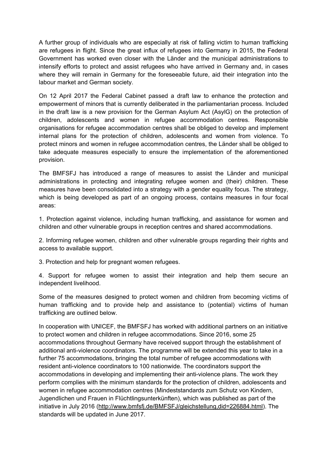A further group of individuals who are especially at risk of falling victim to human trafficking are refugees in flight. Since the great influx of refugees into Germany in 2015, the Federal Government has worked even closer with the Länder and the municipal administrations to intensify efforts to protect and assist refugees who have arrived in Germany and, in cases where they will remain in Germany for the foreseeable future, aid their integration into the labour market and German society.

On 12 April 2017 the Federal Cabinet passed a draft law to enhance the protection and empowerment of minors that is currently deliberated in the parliamentarian process. Included in the draft law is a new provision for the German Asylum Act (AsylG) on the protection of children, adolescents and women in refugee accommodation centres. Responsible organisations for refugee accommodation centres shall be obliged to develop and implement internal plans for the protection of children, adolescents and women from violence. To protect minors and women in refugee accommodation centres, the Länder shall be obliged to take adequate measures especially to ensure the implementation of the aforementioned provision.

The BMFSFJ has introduced a range of measures to assist the Länder and municipal administrations in protecting and integrating refugee women and (their) children. These measures have been consolidated into a strategy with a gender equality focus. The strategy, which is being developed as part of an ongoing process, contains measures in four focal areas:

1. Protection against violence, including human trafficking, and assistance for women and children and other vulnerable groups in reception centres and shared accommodations.

2. Informing refugee women, children and other vulnerable groups regarding their rights and access to available support.

3. Protection and help for pregnant women refugees.

4. Support for refugee women to assist their integration and help them secure an independent livelihood.

Some of the measures designed to protect women and children from becoming victims of human trafficking and to provide help and assistance to (potential) victims of human trafficking are outlined below.

In cooperation with UNICEF, the BMFSFJ has worked with additional partners on an initiative to protect women and children in refugee accommodations. Since 2016, some 25 accommodations throughout Germany have received support through the establishment of additional anti-violence coordinators. The programme will be extended this year to take in a further 75 accommodations, bringing the total number of refugee accommodations with resident anti-violence coordinators to 100 nationwide. The coordinators support the accommodations in developing and implementing their anti-violence plans. The work they perform complies with the minimum standards for the protection of children, adolescents and women in refugee accommodation centres (Mindeststandards zum Schutz von Kindern, Jugendlichen und Frauen in Flüchtlingsunterkünften), which was published as part of the initiative in July 2016 (http://www.bmfsfj.de/BMFSFJ/gleichstellung,did=226884.html). The standards will be updated in June 2017.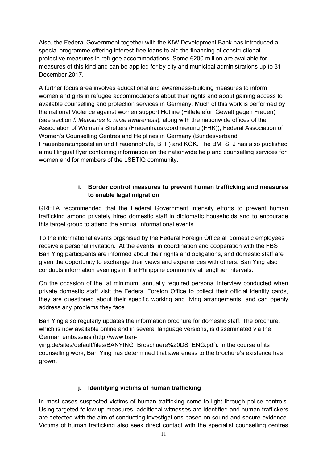Also, the Federal Government together with the KfW Development Bank has introduced a special programme offering interest-free loans to aid the financing of constructional protective measures in refugee accommodations. Some €200 million are available for measures of this kind and can be applied for by city and municipal administrations up to 31 December 2017.

A further focus area involves educational and awareness-building measures to inform women and girls in refugee accommodations about their rights and about gaining access to available counselling and protection services in Germany. Much of this work is performed by the national Violence against women support Hotline (Hilfetelefon Gewalt gegen Frauen) (see section *f. Measures to raise awareness*), along with the nationwide offices of the Association of Women's Shelters (Frauenhauskoordinierung (FHK)), Federal Association of Women's Counselling Centres and Helplines in Germany (Bundesverband Frauenberatungsstellen und Frauennotrufe, BFF) and KOK. The BMFSFJ has also published a multilingual flyer containing information on the nationwide help and counselling services for women and for members of the LSBTIQ community.

## **i. Border control measures to prevent human trafficking and measures to enable legal migration**

GRETA recommended that the Federal Government intensify efforts to prevent human trafficking among privately hired domestic staff in diplomatic households and to encourage this target group to attend the annual informational events.

To the informational events organised by the Federal Foreign Office all domestic employees receive a personal invitation. At the events, in coordination and cooperation with the FBS Ban Ying participants are informed about their rights and obligations, and domestic staff are given the opportunity to exchange their views and experiences with others. Ban Ying also conducts information evenings in the Philippine community at lengthier intervals.

On the occasion of the, at minimum, annually required personal interview conducted when private domestic staff visit the Federal Foreign Office to collect their official identity cards, they are questioned about their specific working and living arrangements, and can openly address any problems they face.

Ban Ying also regularly updates the information brochure for domestic staff. The brochure, which is now available online and in several language versions, is disseminated via the German embassies (http://www.ban-

ying.de/sites/default/files/BANYING\_Broschuere%20DS\_ENG.pdf). In the course of its counselling work, Ban Ying has determined that awareness to the brochure's existence has grown.

## **j. Identifying victims of human trafficking**

In most cases suspected victims of human trafficking come to light through police controls. Using targeted follow-up measures, additional witnesses are identified and human traffickers are detected with the aim of conducting investigations based on sound and secure evidence. Victims of human trafficking also seek direct contact with the specialist counselling centres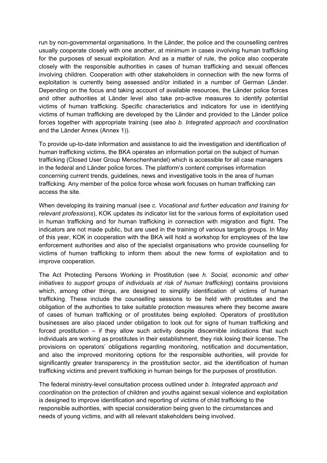run by non-governmental organisations. In the Länder, the police and the counselling centres usually cooperate closely with one another, at minimum in cases involving human trafficking for the purposes of sexual exploitation. And as a matter of rule, the police also cooperate closely with the responsible authorities in cases of human trafficking and sexual offences involving children. Cooperation with other stakeholders in connection with the new forms of exploitation is currently being assessed and/or initiated in a number of German Länder. Depending on the focus and taking account of available resources, the Länder police forces and other authorities at Länder level also take pro-active measures to identify potential victims of human trafficking. Specific characteristics and indicators for use in identifying victims of human trafficking are developed by the Länder and provided to the Länder police forces together with appropriate training (see also *b. Integrated approach and coordination* and the Länder Annex (Annex 1)).

To provide up-to-date information and assistance to aid the investigation and identification of human trafficking victims, the BKA operates an information portal on the subject of human trafficking (Closed User Group Menschenhandel) which is accessible for all case managers in the federal and Länder police forces. The platform's content comprises information concerning current trends, guidelines, news and investigative tools in the area of human trafficking. Any member of the police force whose work focuses on human trafficking can access the site.

When developing its training manual (see *c. Vocational and further education and training for relevant professions*), KOK updates its indicator list for the various forms of exploitation used in human trafficking and for human trafficking in connection with migration and flight. The indicators are not made public, but are used in the training of various targets groups. In May of this year, KOK in cooperation with the BKA will hold a workshop for employees of the law enforcement authorities and also of the specialist organisations who provide counselling for victims of human trafficking to inform them about the new forms of exploitation and to improve cooperation.

The Act Protecting Persons Working in Prostitution (see *h. Social, economic and other initiatives to support groups of individuals at risk of human trafficking*) contains provisions which, among other things, are designed to simplify identification of victims of human trafficking. These include the counselling sessions to be held with prostitutes and the obligation of the authorities to take suitable protection measures where they become aware of cases of human trafficking or of prostitutes being exploited. Operators of prostitution businesses are also placed under obligation to look out for signs of human trafficking and forced prostitution – if they allow such activity despite discernible indications that such individuals are working as prostitutes in their establishment, they risk losing their license. The provisions on operators' obligations regarding monitoring, notification and documentation, and also the improved monitoring options for the responsible authorities, will provide for significantly greater transparency in the prostitution sector, aid the identification of human trafficking victims and prevent trafficking in human beings for the purposes of prostitution.

The federal ministry-level consultation process outlined under *b. Integrated approach and coordination* on the protection of children and youths against sexual violence and exploitation is designed to improve identification and reporting of victims of child trafficking to the responsible authorities, with special consideration being given to the circumstances and needs of young victims, and with all relevant stakeholders being involved.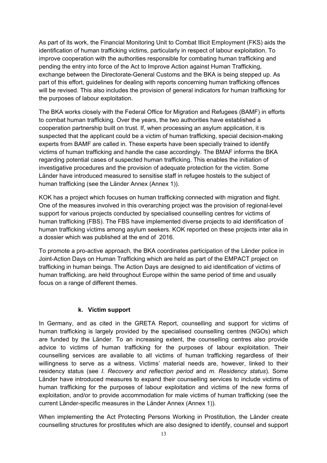As part of its work, the Financial Monitoring Unit to Combat Illicit Employment (FKS) aids the identification of human trafficking victims, particularly in respect of labour exploitation. To improve cooperation with the authorities responsible for combating human trafficking and pending the entry into force of the Act to Improve Action against Human Trafficking, exchange between the Directorate-General Customs and the BKA is being stepped up. As part of this effort, guidelines for dealing with reports concerning human trafficking offences will be revised. This also includes the provision of general indicators for human trafficking for the purposes of labour exploitation.

The BKA works closely with the Federal Office for Migration and Refugees (BAMF) in efforts to combat human trafficking. Over the years, the two authorities have established a cooperation partnership built on trust. If, when processing an asylum application, it is suspected that the applicant could be a victim of human trafficking, special decision-making experts from BAMF are called in. These experts have been specially trained to identify victims of human trafficking and handle the case accordingly. The BMAF informs the BKA regarding potential cases of suspected human trafficking. This enables the initiation of investigative procedures and the provision of adequate protection for the victim. Some Länder have introduced measured to sensitise staff in refugee hostels to the subject of human trafficking (see the Länder Annex (Annex 1)).

KOK has a project which focuses on human trafficking connected with migration and flight. One of the measures involved in this overarching project was the provision of regional-level support for various projects conducted by specialised counselling centres for victims of human trafficking (FBS). The FBS have implemented diverse projects to aid identification of human trafficking victims among asylum seekers. KOK reported on these projects inter alia in a dossier which was published at the end of 2016.

To promote a pro-active approach, the BKA coordinates participation of the Länder police in Joint-Action Days on Human Trafficking which are held as part of the EMPACT project on trafficking in human beings. The Action Days are designed to aid identification of victims of human trafficking, are held throughout Europe within the same period of time and usually focus on a range of different themes.

#### **k. Victim support**

In Germany, and as cited in the GRETA Report, counselling and support for victims of human trafficking is largely provided by the specialised counselling centres (NGOs) which are funded by the Länder. To an increasing extent, the counselling centres also provide advice to victims of human trafficking for the purposes of labour exploitation. Their counselling services are available to all victims of human trafficking regardless of their willingness to serve as a witness. Victims' material needs are, however, linked to their residency status (see *I. Recovery and reflection period* and *m. Residency status*). Some Länder have introduced measures to expand their counselling services to include victims of human trafficking for the purposes of labour exploitation and victims of the new forms of exploitation, and/or to provide accommodation for male victims of human trafficking (see the current Länder-specific measures in the Länder Annex (Annex 1)).

When implementing the Act Protecting Persons Working in Prostitution, the Länder create counselling structures for prostitutes which are also designed to identify, counsel and support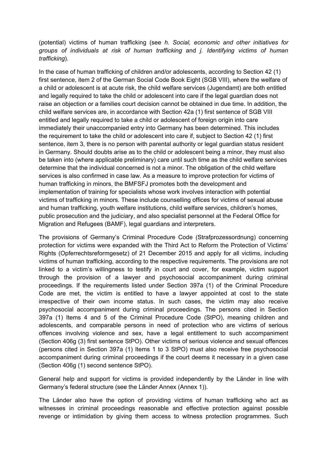(potential) victims of human trafficking (see *h. Social, economic and other initiatives for groups of individuals at risk of human trafficking* and *j. Identifying victims of human trafficking*).

In the case of human trafficking of children and/or adolescents, according to Section 42 (1) first sentence, item 2 of the German Social Code Book Eight (SGB VIII), where the welfare of a child or adolescent is at acute risk, the child welfare services (Jugendamt) are both entitled and legally required to take the child or adolescent into care if the legal guardian does not raise an objection or a families court decision cannot be obtained in due time. In addition, the child welfare services are, in accordance with Section 42a (1) first sentence of SGB VIII entitled and legally required to take a child or adolescent of foreign origin into care immediately their unaccompanied entry into Germany has been determined. This includes the requirement to take the child or adolescent into care if, subject to Section 42 (1) first sentence, item 3, there is no person with parental authority or legal guardian status resident in Germany. Should doubts arise as to the child or adolescent being a minor, they must also be taken into (where applicable preliminary) care until such time as the child welfare services determine that the individual concerned is not a minor. The obligation of the child welfare services is also confirmed in case law. As a measure to improve protection for victims of human trafficking in minors, the BMFSFJ promotes both the development and implementation of training for specialists whose work involves interaction with potential victims of trafficking in minors. These include counselling offices for victims of sexual abuse and human trafficking, youth welfare institutions, child welfare services, children's homes, public prosecution and the judiciary, and also specialist personnel at the Federal Office for Migration and Refugees (BAMF), legal guardians and interpreters.

The provisions of Germany's Criminal Procedure Code (Strafprozessordnung) concerning protection for victims were expanded with the Third Act to Reform the Protection of Victims' Rights (Opferrechtsreformgesetz) of 21 December 2015 and apply for all victims, including victims of human trafficking, according to the respective requirements. The provisions are not linked to a victim's willingness to testify in court and cover, for example, victim support through the provision of a lawyer and psychosocial accompaniment during criminal proceedings. If the requirements listed under Section 397a (1) of the Criminal Procedure Code are met, the victim is entitled to have a lawyer appointed at cost to the state irrespective of their own income status. In such cases, the victim may also receive psychosocial accompaniment during criminal proceedings. The persons cited in Section 397a (1) Items 4 and 5 of the Criminal Procedure Code (StPO), meaning children and adolescents, and comparable persons in need of protection who are victims of serious offences involving violence and sex, have a legal entitlement to such accompaniment (Section 406g (3) first sentence StPO). Other victims of serious violence and sexual offences (persons cited in Section 397a (1) Items 1 to 3 StPO) must also receive free psychosocial accompaniment during criminal proceedings if the court deems it necessary in a given case (Section 406g (1) second sentence StPO).

General help and support for victims is provided independently by the Länder in line with Germany's federal structure (see the Länder Annex (Annex 1)).

The Länder also have the option of providing victims of human trafficking who act as witnesses in criminal proceedings reasonable and effective protection against possible revenge or intimidation by giving them access to witness protection programmes. Such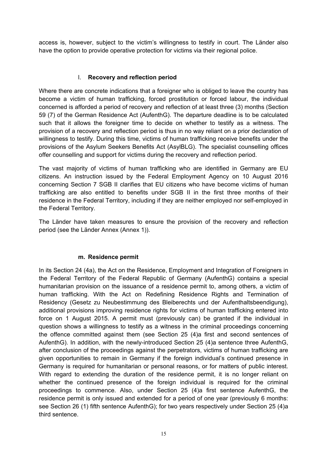access is, however, subject to the victim's willingness to testify in court. The Länder also have the option to provide operative protection for victims via their regional police.

## l. **Recovery and reflection period**

Where there are concrete indications that a foreigner who is obliged to leave the country has become a victim of human trafficking, forced prostitution or forced labour, the individual concerned is afforded a period of recovery and reflection of at least three (3) months (Section 59 (7) of the German Residence Act (AufenthG). The departure deadline is to be calculated such that it allows the foreigner time to decide on whether to testify as a witness. The provision of a recovery and reflection period is thus in no way reliant on a prior declaration of willingness to testify. During this time, victims of human trafficking receive benefits under the provisions of the Asylum Seekers Benefits Act (AsylBLG). The specialist counselling offices offer counselling and support for victims during the recovery and reflection period.

The vast majority of victims of human trafficking who are identified in Germany are EU citizens. An instruction issued by the Federal Employment Agency on 10 August 2016 concerning Section 7 SGB II clarifies that EU citizens who have become victims of human trafficking are also entitled to benefits under SGB II in the first three months of their residence in the Federal Territory, including if they are neither employed nor self-employed in the Federal Territory.

The Länder have taken measures to ensure the provision of the recovery and reflection period (see the Länder Annex (Annex 1)).

## **m. Residence permit**

In its Section 24 (4a), the Act on the Residence, Employment and Integration of Foreigners in the Federal Territory of the Federal Republic of Germany (AufenthG) contains a special humanitarian provision on the issuance of a residence permit to, among others, a victim of human trafficking. With the Act on Redefining Residence Rights and Termination of Residency (Gesetz zu Neubestimmung des Bleiberechts und der Aufenthaltsbeendigung), additional provisions improving residence rights for victims of human trafficking entered into force on 1 August 2015. A permit must (previously can) be granted if the individual in question shows a willingness to testify as a witness in the criminal proceedings concerning the offence committed against them (see Section 25 (4)a first and second sentences of AufenthG). In addition, with the newly-introduced Section 25 (4)a sentence three AufenthG, after conclusion of the proceedings against the perpetrators, victims of human trafficking are given opportunities to remain in Germany if the foreign individual's continued presence in Germany is required for humanitarian or personal reasons, or for matters of public interest. With regard to extending the duration of the residence permit, it is no longer reliant on whether the continued presence of the foreign individual is required for the criminal proceedings to commence. Also, under Section 25 (4)a first sentence AufenthG, the residence permit is only issued and extended for a period of one year (previously 6 months: see Section 26 (1) fifth sentence AufenthG); for two years respectively under Section 25 (4)a third sentence.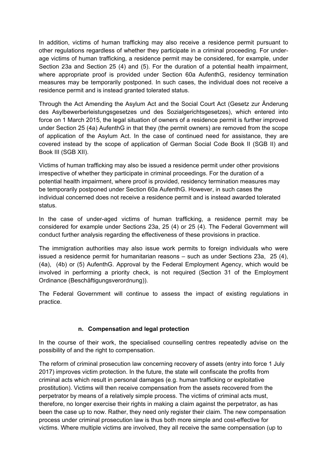In addition, victims of human trafficking may also receive a residence permit pursuant to other regulations regardless of whether they participate in a criminal proceeding. For underage victims of human trafficking, a residence permit may be considered, for example, under Section 23a and Section 25 (4) and (5). For the duration of a potential health impairment, where appropriate proof is provided under Section 60a AufenthG, residency termination measures may be temporarily postponed. In such cases, the individual does not receive a residence permit and is instead granted tolerated status.

Through the Act Amending the Asylum Act and the Social Court Act (Gesetz zur Änderung des Asylbewerberleistungsgesetzes und des Sozialgerichtsgesetzes), which entered into force on 1 March 2015, the legal situation of owners of a residence permit is further improved under Section 25 (4a) AufenthG in that they (the permit owners) are removed from the scope of application of the Asylum Act. In the case of continued need for assistance, they are covered instead by the scope of application of German Social Code Book II (SGB II) and Book III (SGB XII).

Victims of human trafficking may also be issued a residence permit under other provisions irrespective of whether they participate in criminal proceedings. For the duration of a potential health impairment, where proof is provided, residency termination measures may be temporarily postponed under Section 60a AufenthG. However, in such cases the individual concerned does not receive a residence permit and is instead awarded tolerated status.

In the case of under-aged victims of human trafficking, a residence permit may be considered for example under Sections 23a, 25 (4) or 25 (4). The Federal Government will conduct further analysis regarding the effectiveness of these provisions in practice.

The immigration authorities may also issue work permits to foreign individuals who were issued a residence permit for humanitarian reasons – such as under Sections 23a, 25 (4), (4a), (4b) or (5) AufenthG. Approval by the Federal Employment Agency, which would be involved in performing a priority check, is not required (Section 31 of the Employment Ordinance (Beschäftigungsverordnung)).

The Federal Government will continue to assess the impact of existing regulations in practice.

## **n. Compensation and legal protection**

In the course of their work, the specialised counselling centres repeatedly advise on the possibility of and the right to compensation.

The reform of criminal prosecution law concerning recovery of assets (entry into force 1 July 2017) improves victim protection. In the future, the state will confiscate the profits from criminal acts which result in personal damages (e.g. human trafficking or exploitative prostitution). Victims will then receive compensation from the assets recovered from the perpetrator by means of a relatively simple process. The victims of criminal acts must, therefore, no longer exercise their rights in making a claim against the perpetrator, as has been the case up to now. Rather, they need only register their claim. The new compensation process under criminal prosecution law is thus both more simple and cost-effective for victims. Where multiple victims are involved, they all receive the same compensation (up to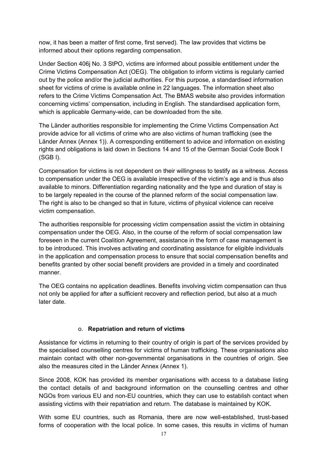now, it has been a matter of first come, first served). The law provides that victims be informed about their options regarding compensation.

Under Section 406j No. 3 StPO, victims are informed about possible entitlement under the Crime Victims Compensation Act (OEG). The obligation to inform victims is regularly carried out by the police and/or the judicial authorities. For this purpose, a standardised information sheet for victims of crime is available online in 22 languages. The information sheet also refers to the Crime Victims Compensation Act. The BMAS website also provides information concerning victims' compensation, including in English. The standardised application form, which is applicable Germany-wide, can be downloaded from the site.

The Länder authorities responsible for implementing the Crime Victims Compensation Act provide advice for all victims of crime who are also victims of human trafficking (see the Länder Annex (Annex 1)). A corresponding entitlement to advice and information on existing rights and obligations is laid down in Sections 14 and 15 of the German Social Code Book I (SGB I).

Compensation for victims is not dependent on their willingness to testify as a witness. Access to compensation under the OEG is available irrespective of the victim's age and is thus also available to minors. Differentiation regarding nationality and the type and duration of stay is to be largely repealed in the course of the planned reform of the social compensation law. The right is also to be changed so that in future, victims of physical violence can receive victim compensation.

The authorities responsible for processing victim compensation assist the victim in obtaining compensation under the OEG. Also, in the course of the reform of social compensation law foreseen in the current Coalition Agreement, assistance in the form of case management is to be introduced. This involves activating and coordinating assistance for eligible individuals in the application and compensation process to ensure that social compensation benefits and benefits granted by other social benefit providers are provided in a timely and coordinated manner.

The OEG contains no application deadlines. Benefits involving victim compensation can thus not only be applied for after a sufficient recovery and reflection period, but also at a much later date.

## o. **Repatriation and return of victims**

Assistance for victims in returning to their country of origin is part of the services provided by the specialised counselling centres for victims of human trafficking. These organisations also maintain contact with other non-governmental organisations in the countries of origin. See also the measures cited in the Länder Annex (Annex 1).

Since 2008, KOK has provided its member organisations with access to a database listing the contact details of and background information on the counselling centres and other NGOs from various EU and non-EU countries, which they can use to establish contact when assisting victims with their repatriation and return. The database is maintained by KOK.

With some EU countries, such as Romania, there are now well-established, trust-based forms of cooperation with the local police. In some cases, this results in victims of human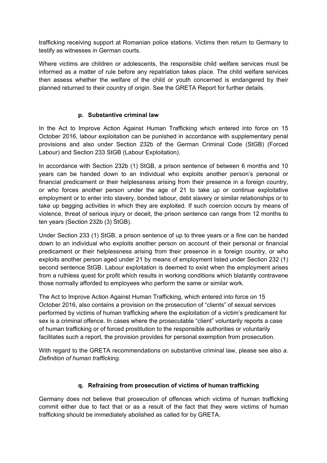trafficking receiving support at Romanian police stations. Victims then return to Germany to testify as witnesses in German courts.

Where victims are children or adolescents, the responsible child welfare services must be informed as a matter of rule before any repatriation takes place. The child welfare services then assess whether the welfare of the child or youth concerned is endangered by their planned returned to their country of origin. See the GRETA Report for further details.

## **p. Substantive criminal law**

In the Act to Improve Action Against Human Trafficking which entered into force on 15 October 2016, labour exploitation can be punished in accordance with supplementary penal provisions and also under Section 232b of the German Criminal Code (StGB) (Forced Labour) and Section 233 StGB (Labour Exploitation).

In accordance with Section 232b (1) StGB, a prison sentence of between 6 months and 10 years can be handed down to an individual who exploits another person's personal or financial predicament or their helplessness arising from their presence in a foreign country, or who forces another person under the age of 21 to take up or continue exploitative employment or to enter into slavery, bonded labour, debt slavery or similar relationships or to take up begging activities in which they are exploited. If such coercion occurs by means of violence, threat of serious injury or deceit, the prison sentence can range from 12 months to ten years (Section 232b (3) StGB).

Under Section 233 (1) StGB, a prison sentence of up to three years or a fine can be handed down to an individual who exploits another person on account of their personal or financial predicament or their helplessness arising from their presence in a foreign country, or who exploits another person aged under 21 by means of employment listed under Section 232 (1) second sentence StGB. Labour exploitation is deemed to exist when the employment arises from a ruthless quest for profit which results in working conditions which blatantly contravene those normally afforded to employees who perform the same or similar work.

The Act to Improve Action Against Human Trafficking, which entered into force on 15 October 2016, also contains a provision on the prosecution of "clients" of sexual services performed by victims of human trafficking where the exploitation of a victim's predicament for sex is a criminal offence. In cases where the prosecutable "client" voluntarily reports a case of human trafficking or of forced prostitution to the responsible authorities or voluntarily facilitates such a report, the provision provides for personal exemption from prosecution.

With regard to the GRETA recommendations on substantive criminal law, please see also *a. Definition of human trafficking*.

## **q. Refraining from prosecution of victims of human trafficking**

Germany does not believe that prosecution of offences which victims of human trafficking commit either due to fact that or as a result of the fact that they were victims of human trafficking should be immediately abolished as called for by GRETA.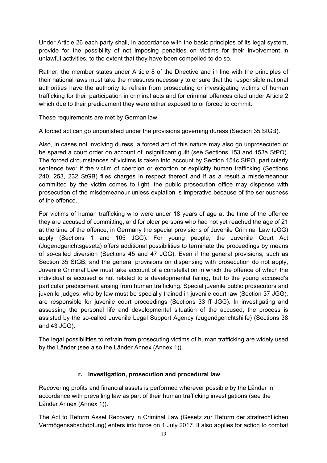Under Article 26 each party shall, in accordance with the basic principles of its legal system, provide for the possibility of not imposing penalties on victims for their involvement in unlawful activities, to the extent that they have been compelled to do so.

Rather, the member states under Article 8 of the Directive and in line with the principles of their national laws must take the measures necessary to ensure that the responsible national authorities have the authority to refrain from prosecuting or investigating victims of human trafficking for their participation in criminal acts and for criminal offences cited under Article 2 which due to their predicament they were either exposed to or forced to commit.

These requirements are met by German law.

A forced act can go unpunished under the provisions governing duress (Section 35 StGB).

Also, in cases not involving duress, a forced act of this nature may also go unprosecuted or be spared a court order on account of insignificant guilt (see Sections 153 and 153a StPO). The forced circumstances of victims is taken into account by Section 154c StPO, particularly sentence two: If the victim of coercion or extortion or explicitly human trafficking (Sections 240, 253, 232 StGB) files charges in respect thereof and if as a result a misdemeanour committed by the victim comes to light, the public prosecution office may dispense with prosecution of the misdemeanour unless expiation is imperative because of the seriousness of the offence.

For victims of human trafficking who were under 18 years of age at the time of the offence they are accused of committing, and for older persons who had not yet reached the age of 21 at the time of the offence, in Germany the special provisions of Juvenile Criminal Law (JGG) apply (Sections 1 and 105 JGG). For young people, the Juvenile Court Act (Jugendgerichtsgesetz) offers additional possibilities to terminate the proceedings by means of so-called diversion (Sections 45 and 47 JGG). Even if the general provisions, such as Section 35 StGB, and the general provisions on dispensing with prosecution do not apply, Juvenile Criminal Law must take account of a constellation in which the offence of which the individual is accused is not related to a developmental failing, but to the young accused's particular predicament arising from human trafficking. Special juvenile public prosecutors and juvenile judges, who by law must be specially trained in juvenile court law (Section 37 JGG), are responsible for juvenile court proceedings (Sections 33 ff JGG). In investigating and assessing the personal life and developmental situation of the accused, the process is assisted by the so-called Juvenile Legal Support Agency (Jugendgerichtshilfe) (Sections 38 and 43 JGG).

The legal possibilities to refrain from prosecuting victims of human trafficking are widely used by the Länder (see also the Länder Annex (Annex 1)).

#### **r. Investigation, prosecution and procedural law**

Recovering profits and financial assets is performed wherever possible by the Länder in accordance with prevailing law as part of their human trafficking investigations (see the Länder Annex (Annex 1)).

The Act to Reform Asset Recovery in Criminal Law (Gesetz zur Reform der strafrechtlichen Vermögensabschöpfung) enters into force on 1 July 2017. It also applies for action to combat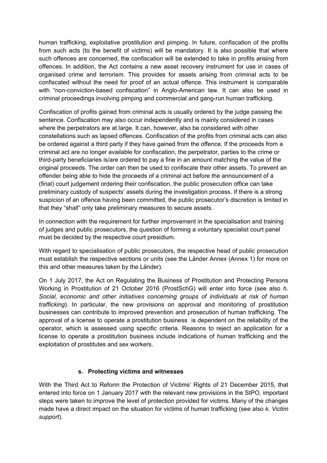human trafficking, exploitative prostitution and pimping. In future, confiscation of the profits from such acts (to the benefit of victims) will be mandatory. It is also possible that where such offences are concerned, the confiscation will be extended to take in profits arising from offences. In addition, the Act contains a new asset recovery instrument for use in cases of organised crime and terrorism. This provides for assets arising from criminal acts to be confiscated without the need for proof of an actual offence. This instrument is comparable with "non-conviction-based confiscation" in Anglo-American law. It can also be used in criminal proceedings involving pimping and commercial and gang-run human trafficking.

Confiscation of profits gained from criminal acts is usually ordered by the judge passing the sentence. Confiscation may also occur independently and is mainly considered in cases where the perpetrators are at large. It can, however, also be considered with other constellations such as lapsed offences. Confiscation of the profits from criminal acts can also be ordered against a third party if they have gained from the offence. If the proceeds from a criminal act are no longer available for confiscation, the perpetrator, parties to the crime or third-party beneficiaries is/are ordered to pay a fine in an amount matching the value of the original proceeds. The order can then be used to confiscate their other assets. To prevent an offender being able to hide the proceeds of a criminal act before the announcement of a (final) court judgement ordering their confiscation, the public prosecution office can take preliminary custody of suspects' assets during the investigation process. If there is a strong suspicion of an offence having been committed, the public prosecutor's discretion is limited in that they "shall" only take preliminary measures to secure assets.

In connection with the requirement for further improvement in the specialisation and training of judges and public prosecutors, the question of forming a voluntary specialist court panel must be decided by the respective court presidium.

With regard to specialisation of public prosecutors, the respective head of public prosecution must establish the respective sections or units (see the Länder Annex (Annex 1) for more on this and other measures taken by the Länder).

On 1 July 2017, the Act on Regulating the Business of Prostitution and Protecting Persons Working in Prostitution of 21 October 2016 (ProstSchG) will enter into force (see also *h. Social, economic and other initiatives concerning groups of individuals at risk of human trafficking*). In particular, the new provisions on approval and monitoring of prostitution businesses can contribute to improved prevention and prosecution of human trafficking. The approval of a license to operate a prostitution business is dependent on the reliability of the operator, which is assessed using specific criteria. Reasons to reject an application for a license to operate a prostitution business include indications of human trafficking and the exploitation of prostitutes and sex workers.

#### **s. Protecting victims and witnesses**

With the Third Act to Reform the Protection of Victims' Rights of 21 December 2015, that entered into force on 1 January 2017 with the relevant new provisions in the StPO, important steps were taken to improve the level of protection provided for victims. Many of the changes made have a direct impact on the situation for victims of human trafficking (see also *k. Victim support*).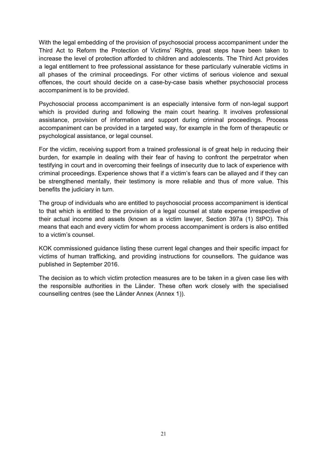With the legal embedding of the provision of psychosocial process accompaniment under the Third Act to Reform the Protection of Victims' Rights, great steps have been taken to increase the level of protection afforded to children and adolescents. The Third Act provides a legal entitlement to free professional assistance for these particularly vulnerable victims in all phases of the criminal proceedings. For other victims of serious violence and sexual offences, the court should decide on a case-by-case basis whether psychosocial process accompaniment is to be provided.

Psychosocial process accompaniment is an especially intensive form of non-legal support which is provided during and following the main court hearing. It involves professional assistance, provision of information and support during criminal proceedings. Process accompaniment can be provided in a targeted way, for example in the form of therapeutic or psychological assistance, or legal counsel.

For the victim, receiving support from a trained professional is of great help in reducing their burden, for example in dealing with their fear of having to confront the perpetrator when testifying in court and in overcoming their feelings of insecurity due to lack of experience with criminal proceedings. Experience shows that if a victim's fears can be allayed and if they can be strengthened mentally, their testimony is more reliable and thus of more value. This benefits the judiciary in turn.

The group of individuals who are entitled to psychosocial process accompaniment is identical to that which is entitled to the provision of a legal counsel at state expense irrespective of their actual income and assets (known as a victim lawyer, Section 397a (1) StPO). This means that each and every victim for whom process accompaniment is orders is also entitled to a victim's counsel.

KOK commissioned guidance listing these current legal changes and their specific impact for victims of human trafficking, and providing instructions for counsellors. The guidance was published in September 2016.

The decision as to which victim protection measures are to be taken in a given case lies with the responsible authorities in the Länder. These often work closely with the specialised counselling centres (see the Länder Annex (Annex 1)).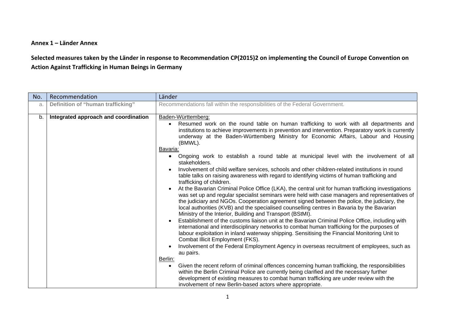#### **Annex 1 – Länder Annex**

## Selected measures taken by the Länder in response to Recommendation CP(2015)2 on implementing the Council of Europe Convention on **Action Against Trafficking in Human Beings in Germany**

| No. | Recommendation                       | Länder                                                                                                                                                                                                                                                                                                                                                                                                                                                                                                                                                                                                                                                                                                                                                                                                                                                                                                                                                                                                                                                                                                                                                                                                                                                                                                                                                                                                                                                                                                                                                                                                                                                                                                                                                                                                                                                                                                                                                                                       |
|-----|--------------------------------------|----------------------------------------------------------------------------------------------------------------------------------------------------------------------------------------------------------------------------------------------------------------------------------------------------------------------------------------------------------------------------------------------------------------------------------------------------------------------------------------------------------------------------------------------------------------------------------------------------------------------------------------------------------------------------------------------------------------------------------------------------------------------------------------------------------------------------------------------------------------------------------------------------------------------------------------------------------------------------------------------------------------------------------------------------------------------------------------------------------------------------------------------------------------------------------------------------------------------------------------------------------------------------------------------------------------------------------------------------------------------------------------------------------------------------------------------------------------------------------------------------------------------------------------------------------------------------------------------------------------------------------------------------------------------------------------------------------------------------------------------------------------------------------------------------------------------------------------------------------------------------------------------------------------------------------------------------------------------------------------------|
| a.  | Definition of "human trafficking"    | Recommendations fall within the responsibilities of the Federal Government.                                                                                                                                                                                                                                                                                                                                                                                                                                                                                                                                                                                                                                                                                                                                                                                                                                                                                                                                                                                                                                                                                                                                                                                                                                                                                                                                                                                                                                                                                                                                                                                                                                                                                                                                                                                                                                                                                                                  |
| b.  | Integrated approach and coordination | Baden-Württemberg:<br>Resumed work on the round table on human trafficking to work with all departments and<br>institutions to achieve improvements in prevention and intervention. Preparatory work is currently<br>underway at the Baden-Württemberg Ministry for Economic Affairs, Labour and Housing<br>(BMWL).<br>Bavaria:<br>Ongoing work to establish a round table at municipal level with the involvement of all<br>$\bullet$<br>stakeholders.<br>Involvement of child welfare services, schools and other children-related institutions in round<br>table talks on raising awareness with regard to identifying victims of human trafficking and<br>trafficking of children.<br>At the Bavarian Criminal Police Office (LKA), the central unit for human trafficking investigations<br>was set up and regular specialist seminars were held with case managers and representatives of<br>the judiciary and NGOs. Cooperation agreement signed between the police, the judiciary, the<br>local authorities (KVB) and the specialised counselling centres in Bavaria by the Bavarian<br>Ministry of the Interior, Building and Transport (BStMI).<br>Establishment of the customs liaison unit at the Bavarian Criminal Police Office, including with<br>international and interdisciplinary networks to combat human trafficking for the purposes of<br>labour exploitation in inland waterway shipping. Sensitising the Financial Monitoring Unit to<br>Combat Illicit Employment (FKS).<br>Involvement of the Federal Employment Agency in overseas recruitment of employees, such as<br>au pairs.<br>Berlin:<br>Given the recent reform of criminal offences concerning human trafficking, the responsibilities<br>$\bullet$<br>within the Berlin Criminal Police are currently being clarified and the necessary further<br>development of existing measures to combat human trafficking are under review with the<br>involvement of new Berlin-based actors where appropriate. |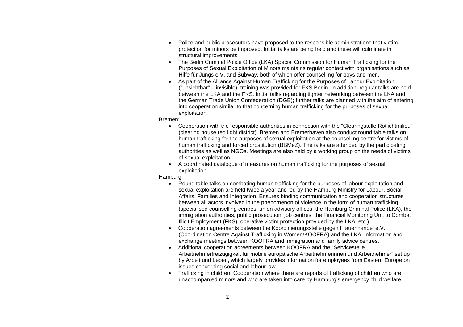|  | Police and public prosecutors have proposed to the responsible administrations that victim<br>protection for minors be improved. Initial talks are being held and these will culminate in<br>structural improvements.<br>The Berlin Criminal Police Office (LKA) Special Commission for Human Trafficking for the<br>Purposes of Sexual Exploitation of Minors maintains regular contact with organisations such as<br>Hilfe für Jungs e.V. and Subway, both of which offer counselling for boys and men.<br>As part of the Alliance Against Human Trafficking for the Purposes of Labour Exploitation<br>("unsichtbar" - invisible), training was provided for FKS Berlin. In addition, regular talks are held<br>between the LKA and the FKS. Initial talks regarding tighter networking between the LKA and<br>the German Trade Union Confederation (DGB); further talks are planned with the aim of entering<br>into cooperation similar to that concerning human trafficking for the purposes of sexual<br>exploitation.                           |
|--|---------------------------------------------------------------------------------------------------------------------------------------------------------------------------------------------------------------------------------------------------------------------------------------------------------------------------------------------------------------------------------------------------------------------------------------------------------------------------------------------------------------------------------------------------------------------------------------------------------------------------------------------------------------------------------------------------------------------------------------------------------------------------------------------------------------------------------------------------------------------------------------------------------------------------------------------------------------------------------------------------------------------------------------------------------|
|  | Bremen:<br>Cooperation with the responsible authorities in connection with the "Clearingstelle Rotlichtmilieu"<br>$\bullet$<br>(clearing house red light district). Bremen and Bremerhaven also conduct round table talks on<br>human trafficking for the purposes of sexual exploitation at the counselling centre for victims of<br>human trafficking and forced prostitution (BBMeZ). The talks are attended by the participating<br>authorities as well as NGOs. Meetings are also held by a working group on the needs of victims<br>of sexual exploitation.<br>A coordinated catalogue of measures on human trafficking for the purposes of sexual<br>exploitation.                                                                                                                                                                                                                                                                                                                                                                               |
|  | Hamburg:<br>Round table talks on combating human trafficking for the purposes of labour exploitation and<br>$\bullet$<br>sexual exploitation are held twice a year and led by the Hamburg Ministry for Labour, Social<br>Affairs, Families and Integration. Ensures binding communication and cooperation structures<br>between all actors involved in the phenomenon of violence in the form of human trafficking<br>(specialised counselling centres, union advisory offices, the Hamburg Criminal Police (LKA), the<br>immigration authorities, public prosecution, job centres, the Financial Monitoring Unit to Combat<br>Illicit Employment (FKS), operative victim protection provided by the LKA, etc.).<br>Cooperation agreements between the Koordinierungsstelle gegen Frauenhandel e.V.<br>(Coordination Centre Against Trafficking in Women/KOOFRA) and the LKA. Information and<br>exchange meetings between KOOFRA and immigration and family advice centres.<br>Additional cooperation agreements between KOOFRA and the "Servicestelle |
|  | Arbeitnehmerfreizügigkeit für mobile europäische Arbeitnehmerinnen und Arbeitnehmer" set up<br>by Arbeit und Leben, which largely provides information for employees from Eastern Europe on<br>issues concerning social and labour law.<br>Trafficking in children: Cooperation where there are reports of trafficking of children who are<br>unaccompanied minors and who are taken into care by Hamburg's emergency child welfare                                                                                                                                                                                                                                                                                                                                                                                                                                                                                                                                                                                                                     |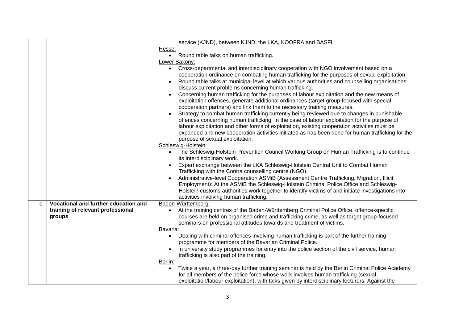| Hesse:<br>Round table talks on human trafficking.<br>$\bullet$                                                                                                                                                                                                                                                                                                                                                                                                                                                                                                                                                                                                                                                                                                                                                                                                                                                                                                                                                                                     |  |
|----------------------------------------------------------------------------------------------------------------------------------------------------------------------------------------------------------------------------------------------------------------------------------------------------------------------------------------------------------------------------------------------------------------------------------------------------------------------------------------------------------------------------------------------------------------------------------------------------------------------------------------------------------------------------------------------------------------------------------------------------------------------------------------------------------------------------------------------------------------------------------------------------------------------------------------------------------------------------------------------------------------------------------------------------|--|
|                                                                                                                                                                                                                                                                                                                                                                                                                                                                                                                                                                                                                                                                                                                                                                                                                                                                                                                                                                                                                                                    |  |
|                                                                                                                                                                                                                                                                                                                                                                                                                                                                                                                                                                                                                                                                                                                                                                                                                                                                                                                                                                                                                                                    |  |
| Lower Saxony:                                                                                                                                                                                                                                                                                                                                                                                                                                                                                                                                                                                                                                                                                                                                                                                                                                                                                                                                                                                                                                      |  |
| Cross-departmental and interdisciplinary cooperation with NGO involvement based on a<br>$\bullet$<br>cooperation ordinance on combating human trafficking for the purposes of sexual exploitation.<br>Round table talks at municipal level at which various authorities and counselling organisations<br>$\bullet$<br>discuss current problems concerning human trafficking.<br>Concerning human trafficking for the purposes of labour exploitation and the new means of<br>exploitation offences, generate additional ordinances (target group-focused with special<br>cooperation partners) and link them to the necessary training measures.<br>Strategy to combat human trafficking currently being reviewed due to changes in punishable<br>offences concerning human trafficking. In the case of labour exploitation for the purpose of<br>labour exploitation and other forms of exploitation, existing cooperation activities must be<br>expanded and new cooperation activities initiated as has been done for human trafficking for the |  |
| purpose of sexual exploitation.                                                                                                                                                                                                                                                                                                                                                                                                                                                                                                                                                                                                                                                                                                                                                                                                                                                                                                                                                                                                                    |  |
| Schleswig-Holstein:                                                                                                                                                                                                                                                                                                                                                                                                                                                                                                                                                                                                                                                                                                                                                                                                                                                                                                                                                                                                                                |  |
| The Schleswig-Holstein Prevention Council Working Group on Human Trafficking is to continue<br>its interdisciplinary work.                                                                                                                                                                                                                                                                                                                                                                                                                                                                                                                                                                                                                                                                                                                                                                                                                                                                                                                         |  |
| Expert exchange between the LKA Schleswig-Holstein Central Unit to Combat Human<br>Trafficking with the Contra counselling centre (NGO).                                                                                                                                                                                                                                                                                                                                                                                                                                                                                                                                                                                                                                                                                                                                                                                                                                                                                                           |  |
| Administrative-level Cooperation ASMiB (Assessment Centre Trafficking, Migration, Illicit<br>Employment): At the ASMiB the Schleswig-Holstein Criminal Police Office and Schleswig-<br>Holstein customs authorities work together to identify victims of and initiate investigations into<br>activities involving human trafficking.                                                                                                                                                                                                                                                                                                                                                                                                                                                                                                                                                                                                                                                                                                               |  |
| Vocational and further education and<br>Baden-Württemberg:<br>C.                                                                                                                                                                                                                                                                                                                                                                                                                                                                                                                                                                                                                                                                                                                                                                                                                                                                                                                                                                                   |  |
| training of relevant professional<br>At the training centres of the Baden-Württemberg Criminal Police Office, offence-specific<br>courses are held on organised crime and trafficking crime, as well as target group-focused<br>groups<br>seminars on professional attitudes towards and treatment of victims.                                                                                                                                                                                                                                                                                                                                                                                                                                                                                                                                                                                                                                                                                                                                     |  |
| Bavaria:                                                                                                                                                                                                                                                                                                                                                                                                                                                                                                                                                                                                                                                                                                                                                                                                                                                                                                                                                                                                                                           |  |
| Dealing with criminal offences involving human trafficking is part of the further training<br>$\bullet$<br>programme for members of the Bavarian Criminal Police.                                                                                                                                                                                                                                                                                                                                                                                                                                                                                                                                                                                                                                                                                                                                                                                                                                                                                  |  |
| In university study programmes for entry into the police section of the civil service, human<br>trafficking is also part of the training.                                                                                                                                                                                                                                                                                                                                                                                                                                                                                                                                                                                                                                                                                                                                                                                                                                                                                                          |  |
| Berlin:                                                                                                                                                                                                                                                                                                                                                                                                                                                                                                                                                                                                                                                                                                                                                                                                                                                                                                                                                                                                                                            |  |
| Twice a year, a three-day further training seminar is held by the Berlin Criminal Police Academy<br>$\bullet$<br>for all members of the police force whose work involves human trafficking (sexual<br>exploitation/labour exploitation), with talks given by interdisciplinary lecturers. Against the                                                                                                                                                                                                                                                                                                                                                                                                                                                                                                                                                                                                                                                                                                                                              |  |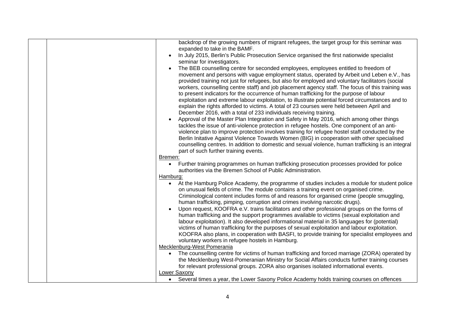|  | backdrop of the growing numbers of migrant refugees, the target group for this seminar was                                                                                                                |
|--|-----------------------------------------------------------------------------------------------------------------------------------------------------------------------------------------------------------|
|  | expanded to take in the BAMF.                                                                                                                                                                             |
|  | In July 2015, Berlin's Public Prosecution Service organised the first nationwide specialist                                                                                                               |
|  | seminar for investigators.                                                                                                                                                                                |
|  | The BEB counselling centre for seconded employees, employees entitled to freedom of                                                                                                                       |
|  | movement and persons with vague employment status, operated by Arbeit und Leben e.V., has                                                                                                                 |
|  | provided training not just for refugees, but also for employed and voluntary facilitators (social                                                                                                         |
|  | workers, counselling centre staff) and job placement agency staff. The focus of this training was                                                                                                         |
|  | to present indicators for the occurrence of human trafficking for the purpose of labour                                                                                                                   |
|  |                                                                                                                                                                                                           |
|  | exploitation and extreme labour exploitation, to illustrate potential forced circumstances and to                                                                                                         |
|  | explain the rights afforded to victims. A total of 23 courses were held between April and                                                                                                                 |
|  | December 2016, with a total of 233 individuals receiving training.                                                                                                                                        |
|  | Approval of the Master Plan Integration and Safety in May 2016, which among other things                                                                                                                  |
|  | tackles the issue of anti-violence protection in refugee hostels. One component of an anti-                                                                                                               |
|  | violence plan to improve protection involves training for refugee hostel staff conducted by the                                                                                                           |
|  | Berlin Initative Against Violence Towards Women (BIG) in cooperation with other specialised                                                                                                               |
|  | counselling centres. In addition to domestic and sexual violence, human trafficking is an integral                                                                                                        |
|  | part of such further training events.                                                                                                                                                                     |
|  | Bremen:                                                                                                                                                                                                   |
|  | Further training programmes on human trafficking prosecution processes provided for police<br>$\bullet$                                                                                                   |
|  | authorities via the Bremen School of Public Administration.                                                                                                                                               |
|  | Hamburg:                                                                                                                                                                                                  |
|  | At the Hamburg Police Academy, the programme of studies includes a module for student police                                                                                                              |
|  | on unusual fields of crime. The module contains a training event on organised crime.                                                                                                                      |
|  | Criminological content includes forms of and reasons for organised crime (people smuggling,                                                                                                               |
|  |                                                                                                                                                                                                           |
|  | human trafficking, pimping, corruption and crimes involving narcotic drugs).                                                                                                                              |
|  | Upon request, KOOFRA e.V. trains facilitators and other professional groups on the forms of                                                                                                               |
|  | human trafficking and the support programmes available to victims (sexual exploitation and                                                                                                                |
|  | labour exploitation). It also developed informational material in 35 languages for (potential)                                                                                                            |
|  | victims of human trafficking for the purposes of sexual exploitation and labour exploitation.                                                                                                             |
|  | KOOFRA also plans, in cooperation with BASFI, to provide training for specialist employees and                                                                                                            |
|  | voluntary workers in refugee hostels in Hamburg.                                                                                                                                                          |
|  | Mecklenburg-West Pomerania                                                                                                                                                                                |
|  | The counselling centre for victims of human trafficking and forced marriage (ZORA) operated by                                                                                                            |
|  | the Mecklenburg West-Pomeranian Ministry for Social Affairs conducts further training courses                                                                                                             |
|  |                                                                                                                                                                                                           |
|  |                                                                                                                                                                                                           |
|  |                                                                                                                                                                                                           |
|  | for relevant professional groups. ZORA also organises isolated informational events.<br><b>Lower Saxony</b><br>• Several times a year, the Lower Saxony Police Academy holds training courses on offences |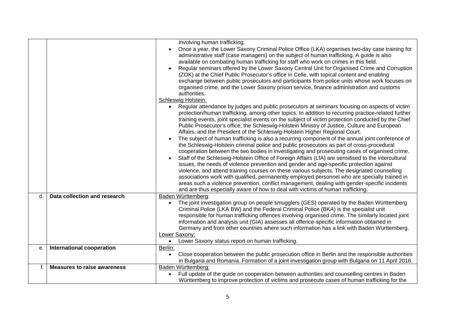|    |                                    | involving human trafficking.<br>Once a year, the Lower Saxony Criminal Police Office (LKA) organises two-day case training for<br>administrative staff (case managers) on the subject of human trafficking. A guide is also<br>available on combating human trafficking for staff who work on crimes in this field.<br>Regular seminars offered by the Lower Saxony Central Unit for Organised Crime and Corruption<br>(ZOK) at the Chief Public Prosecutor's office in Celle, with topical content and enabling<br>exchange between public prosecutors and participants from police units whose work focuses on<br>organised crime, and the Lower Saxony prison service, finance administration and customs<br>authorities.<br>Schleswig Holstein:<br>Regular attendance by judges and public prosecutors at seminars focusing on aspects of victim<br>protection/human trafficking, among other topics. In addition to recurring practice-related further<br>training events, joint specialist events on the subject of victim protection conducted by the Chief<br>Public Prosecutor's office, the Schleswig-Holstein Ministry of Justice, Culture and European<br>Affairs, and the President of the Schleswig-Holstein Higher Regional Court.<br>The subject of human trafficking is also a recurring component of the annual joint conference of<br>the Schleswig-Holstein criminal police and public prosecutors as part of cross-procedural<br>cooperation between the two bodies in investigating and prosecuting cases of organised crime.<br>Staff of the Schleswig-Holstein Office of Foreign Affairs (LfA) are sensitised to the intercultural<br>issues, the needs of violence prevention and gender and age-specific protection against<br>violence, and attend training courses on these various subjects. The designated counselling<br>associations work with qualified, permanently employed personnel who are specially trained in<br>areas such a violence prevention, conflict management, dealing with gender-specific incidents<br>and are thus especially aware of how to deal with victims of human trafficking. |
|----|------------------------------------|-------------------------------------------------------------------------------------------------------------------------------------------------------------------------------------------------------------------------------------------------------------------------------------------------------------------------------------------------------------------------------------------------------------------------------------------------------------------------------------------------------------------------------------------------------------------------------------------------------------------------------------------------------------------------------------------------------------------------------------------------------------------------------------------------------------------------------------------------------------------------------------------------------------------------------------------------------------------------------------------------------------------------------------------------------------------------------------------------------------------------------------------------------------------------------------------------------------------------------------------------------------------------------------------------------------------------------------------------------------------------------------------------------------------------------------------------------------------------------------------------------------------------------------------------------------------------------------------------------------------------------------------------------------------------------------------------------------------------------------------------------------------------------------------------------------------------------------------------------------------------------------------------------------------------------------------------------------------------------------------------------------------------------------------------------------------------------------------------------------------------------------------|
| d. | Data collection and research       | Baden Württemberg:<br>The joint investigation group on people smugglers (GES) operated by the Baden Württemberg<br>Criminal Police (LKA BW) and the Federal Criminal Police (BKA) is the specialist unit<br>responsible for human trafficking offences involving organised crime. The similarly located joint<br>information and analysis unit (GIA) assesses all offence-specific information obtained in<br>Germany and from other countries where such information has a link with Baden Württemberg.<br>Lower Saxony:<br>Lower Saxony status report on human trafficking.<br>$\bullet$                                                                                                                                                                                                                                                                                                                                                                                                                                                                                                                                                                                                                                                                                                                                                                                                                                                                                                                                                                                                                                                                                                                                                                                                                                                                                                                                                                                                                                                                                                                                                |
| e. | <b>International cooperation</b>   | Berlin:<br>Close cooperation between the public prosecution office in Berlin and the responsible authorities<br>$\bullet$<br>in Bulgaria and Romania. Formation of a joint investigation group with Bulgaria on 11 April 2016.                                                                                                                                                                                                                                                                                                                                                                                                                                                                                                                                                                                                                                                                                                                                                                                                                                                                                                                                                                                                                                                                                                                                                                                                                                                                                                                                                                                                                                                                                                                                                                                                                                                                                                                                                                                                                                                                                                            |
| f. | <b>Measures to raise awareness</b> | Baden Württemberg:                                                                                                                                                                                                                                                                                                                                                                                                                                                                                                                                                                                                                                                                                                                                                                                                                                                                                                                                                                                                                                                                                                                                                                                                                                                                                                                                                                                                                                                                                                                                                                                                                                                                                                                                                                                                                                                                                                                                                                                                                                                                                                                        |
|    |                                    | Full update of the guide on cooperation between authorities and counselling centres in Baden<br>$\bullet$<br>Württemberg to improve protection of victims and prosecute cases of human trafficking for the                                                                                                                                                                                                                                                                                                                                                                                                                                                                                                                                                                                                                                                                                                                                                                                                                                                                                                                                                                                                                                                                                                                                                                                                                                                                                                                                                                                                                                                                                                                                                                                                                                                                                                                                                                                                                                                                                                                                |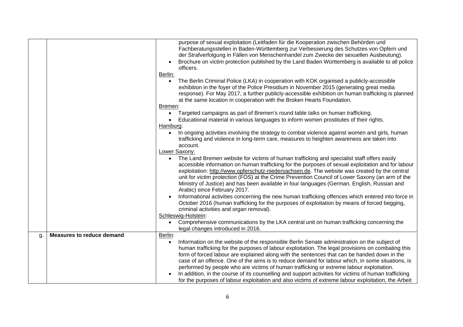|    |                                  | purpose of sexual exploitation (Leitfaden für die Kooperation zwischen Behörden und<br>Fachberatungsstellen in Baden-Württemberg zur Verbesserung des Schutzes von Opfern und<br>der Strafverfolgung in Fällen von Menschenhandel zum Zwecke der sexuellen Ausbeutung).<br>Brochure on victim protection published by the Land Baden Württemberg is available to all police<br>officers.<br>Berlin:<br>The Berlin Criminal Police (LKA) in cooperation with KOK organised a publicly-accessible<br>exhibition in the foyer of the Police Presidium in November 2015 (generating great media<br>response). For May 2017, a further publicly-accessible exhibition on human trafficking is planned<br>at the same location in cooperation with the Broken Hearts Foundation.<br>Bremen:<br>Targeted campaigns as part of Bremen's round table talks on human trafficking.<br>Educational material in various languages to inform women prostitutes of their rights.<br>Hamburg:<br>In ongoing activities involving the strategy to combat violence against women and girls, human<br>$\bullet$<br>trafficking and violence in long-term care, measures to heighten awareness are taken into<br>account.<br>Lower Saxony:<br>The Land Bremen website for victims of human trafficking and specialist staff offers easily<br>accessible information on human trafficking for the purposes of sexual exploitation and for labour<br>exploitation: http://www.opferschutz-niedersachsen.de. The website was created by the central<br>unit for victim protection (FOS) at the Crime Prevention Council of Lower Saxony (an arm of the<br>Ministry of Justice) and has been available in four languages (German, English, Russian and<br>Arabic) since February 2017.<br>Informational activities concerning the new human trafficking offences which entered into force in<br>October 2016 (human trafficking for the purposes of exploitation by means of forced begging,<br>criminal activities and organ removal).<br>Schleswig-Holstein: |
|----|----------------------------------|----------------------------------------------------------------------------------------------------------------------------------------------------------------------------------------------------------------------------------------------------------------------------------------------------------------------------------------------------------------------------------------------------------------------------------------------------------------------------------------------------------------------------------------------------------------------------------------------------------------------------------------------------------------------------------------------------------------------------------------------------------------------------------------------------------------------------------------------------------------------------------------------------------------------------------------------------------------------------------------------------------------------------------------------------------------------------------------------------------------------------------------------------------------------------------------------------------------------------------------------------------------------------------------------------------------------------------------------------------------------------------------------------------------------------------------------------------------------------------------------------------------------------------------------------------------------------------------------------------------------------------------------------------------------------------------------------------------------------------------------------------------------------------------------------------------------------------------------------------------------------------------------------------------------------------------------------------------------------------------------------------------------------------------|
|    |                                  | Comprehensive communications by the LKA central unit on human trafficking concerning the<br>$\bullet$<br>legal changes introduced in 2016.                                                                                                                                                                                                                                                                                                                                                                                                                                                                                                                                                                                                                                                                                                                                                                                                                                                                                                                                                                                                                                                                                                                                                                                                                                                                                                                                                                                                                                                                                                                                                                                                                                                                                                                                                                                                                                                                                             |
| g. | <b>Measures to reduce demand</b> | Berlin:                                                                                                                                                                                                                                                                                                                                                                                                                                                                                                                                                                                                                                                                                                                                                                                                                                                                                                                                                                                                                                                                                                                                                                                                                                                                                                                                                                                                                                                                                                                                                                                                                                                                                                                                                                                                                                                                                                                                                                                                                                |
|    |                                  | Information on the website of the responsible Berlin Senate administration on the subject of<br>human trafficking for the purposes of labour exploitation. The legal provisions on combating this<br>form of forced labour are explained along with the sentences that can be handed down in the<br>case of an offence. One of the aims is to reduce demand for labour which, in some situations, is<br>performed by people who are victims of human trafficking or extreme labour exploitation.<br>In addition, in the course of its counselling and support activities for victims of human trafficking<br>for the purposes of labour exploitation and also victims of extreme labour exploitation, the Arbeit                                                                                                                                                                                                                                                                                                                                                                                                                                                                                                                                                                                                                                                                                                                                                                                                                                                                                                                                                                                                                                                                                                                                                                                                                                                                                                                       |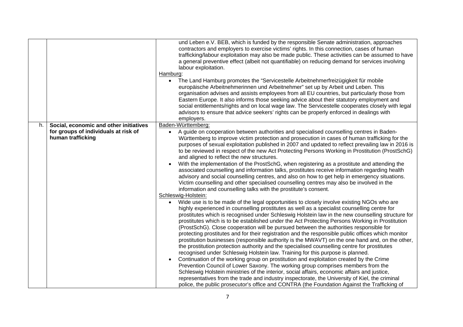|                                                                                                           | und Leben e.V. BEB, which is funded by the responsible Senate administration, approaches<br>contractors and employers to exercise victims' rights. In this connection, cases of human<br>trafficking/labour exploitation may also be made public. These activities can be assumed to have<br>a general preventive effect (albeit not quantifiable) on reducing demand for services involving<br>labour exploitation.<br>Hamburg:<br>The Land Hamburg promotes the "Servicestelle Arbeitnehmerfreizügigkeit für mobile<br>europäische Arbeitnehmerinnen und Arbeitnehmer" set up by Arbeit und Leben. This<br>organisation advises and assists employees from all EU countries, but particularly those from<br>Eastern Europe. It also informs those seeking advice about their statutory employment and<br>social entitlements/rights and on local wage law. The Servicestelle cooperates closely with legal<br>advisors to ensure that advice seekers' rights can be properly enforced in dealings with<br>employers.                                                                                                                                                                                                                                                                                                                                                                                                                                                                                                                                                                                                                                                                                                                                                                                                                                                                                                                                                                                                                                                                                                                                                                                                                        |
|-----------------------------------------------------------------------------------------------------------|-----------------------------------------------------------------------------------------------------------------------------------------------------------------------------------------------------------------------------------------------------------------------------------------------------------------------------------------------------------------------------------------------------------------------------------------------------------------------------------------------------------------------------------------------------------------------------------------------------------------------------------------------------------------------------------------------------------------------------------------------------------------------------------------------------------------------------------------------------------------------------------------------------------------------------------------------------------------------------------------------------------------------------------------------------------------------------------------------------------------------------------------------------------------------------------------------------------------------------------------------------------------------------------------------------------------------------------------------------------------------------------------------------------------------------------------------------------------------------------------------------------------------------------------------------------------------------------------------------------------------------------------------------------------------------------------------------------------------------------------------------------------------------------------------------------------------------------------------------------------------------------------------------------------------------------------------------------------------------------------------------------------------------------------------------------------------------------------------------------------------------------------------------------------------------------------------------------------------------------------------|
| Social, economic and other initiatives<br>h.<br>for groups of individuals at risk of<br>human trafficking | Baden-Württemberg:<br>A guide on cooperation between authorities and specialised counselling centres in Baden-<br>Württemberg to improve victim protection and prosecution in cases of human trafficking for the<br>purposes of sexual exploitation published in 2007 and updated to reflect prevailing law in 2016 is<br>to be reviewed in respect of the new Act Protecting Persons Working in Prostitution (ProstSchG)<br>and aligned to reflect the new structures.<br>With the implementation of the ProstSchG, when registering as a prostitute and attending the<br>associated counselling and information talks, prostitutes receive information regarding health<br>advisory and social counselling centres, and also on how to get help in emergency situations.<br>Victim counselling and other specialised counselling centres may also be involved in the<br>information and counselling talks with the prostitute's consent.<br>Schleswig-Holstein:<br>Wide use is to be made of the legal opportunities to closely involve existing NGOs who are<br>highly experienced in counselling prostitutes as well as a specialist counselling centre for<br>prostitutes which is recognised under Schleswig Holstein law in the new counselling structure for<br>prostitutes which is to be established under the Act Protecting Persons Working in Prostitution<br>(ProstSchG). Close cooperation will be pursued between the authorities responsible for<br>protecting prostitutes and for their registration and the responsible public offices which monitor<br>prostitution businesses (responsible authority is the MWAVT) on the one hand and, on the other,<br>the prostitution protection authority and the specialised counselling centre for prostitutes<br>recognised under Schleswig Holstein law. Training for this purpose is planned.<br>Continuation of the working group on prostitution and exploitation created by the Crime<br>Prevention Council of Lower Saxony. The working group comprises members from the<br>Schleswig Holstein ministries of the interior, social affairs, economic affairs and justice,<br>representatives from the trade and industry inspectorate, the University of Kiel, the criminal |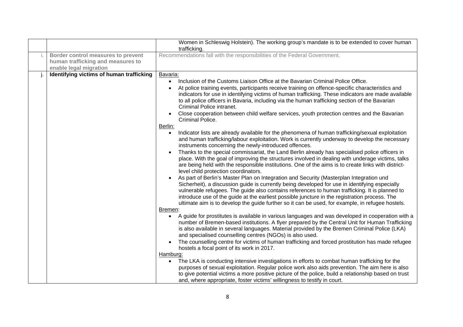|                                                                                                   | Women in Schleswig Holstein). The working group's mandate is to be extended to cover human                                                                                                                                                                                                                                                                                                                                                                                                                                                                                                                                                                                                                                                                                                                                                                                                                                                                                                                                                                                                                                                                                                                                                                                                                                                                                                                                                                                                                                                                                                                                                                                                                                                                                                                                                                                                                                                                                                                                                                                                                                                                                                                                                                                                                                                                                                                                                                                                                                                                                                                                                      |
|---------------------------------------------------------------------------------------------------|-------------------------------------------------------------------------------------------------------------------------------------------------------------------------------------------------------------------------------------------------------------------------------------------------------------------------------------------------------------------------------------------------------------------------------------------------------------------------------------------------------------------------------------------------------------------------------------------------------------------------------------------------------------------------------------------------------------------------------------------------------------------------------------------------------------------------------------------------------------------------------------------------------------------------------------------------------------------------------------------------------------------------------------------------------------------------------------------------------------------------------------------------------------------------------------------------------------------------------------------------------------------------------------------------------------------------------------------------------------------------------------------------------------------------------------------------------------------------------------------------------------------------------------------------------------------------------------------------------------------------------------------------------------------------------------------------------------------------------------------------------------------------------------------------------------------------------------------------------------------------------------------------------------------------------------------------------------------------------------------------------------------------------------------------------------------------------------------------------------------------------------------------------------------------------------------------------------------------------------------------------------------------------------------------------------------------------------------------------------------------------------------------------------------------------------------------------------------------------------------------------------------------------------------------------------------------------------------------------------------------------------------------|
| Border control measures to prevent<br>human trafficking and measures to<br>enable legal migration | trafficking.<br>Recommendations fall with the responsibilities of the Federal Government.                                                                                                                                                                                                                                                                                                                                                                                                                                                                                                                                                                                                                                                                                                                                                                                                                                                                                                                                                                                                                                                                                                                                                                                                                                                                                                                                                                                                                                                                                                                                                                                                                                                                                                                                                                                                                                                                                                                                                                                                                                                                                                                                                                                                                                                                                                                                                                                                                                                                                                                                                       |
| Identifying victims of human trafficking                                                          | Bavaria:<br>Inclusion of the Customs Liaison Office at the Bavarian Criminal Police Office.<br>At police training events, participants receive training on offence-specific characteristics and<br>indicators for use in identifying victims of human trafficking. These indicators are made available<br>to all police officers in Bavaria, including via the human trafficking section of the Bavarian<br>Criminal Police intranet.<br>Close cooperation between child welfare services, youth protection centres and the Bavarian<br>Criminal Police.<br>Berlin:<br>Indicator lists are already available for the phenomena of human trafficking/sexual exploitation<br>$\bullet$<br>and human trafficking/labour exploitation. Work is currently underway to develop the necessary<br>instruments concerning the newly-introduced offences.<br>Thanks to the special commissariat, the Land Berlin already has specialised police officers in<br>place. With the goal of improving the structures involved in dealing with underage victims, talks<br>are being held with the responsible institutions. One of the aims is to create links with district-<br>level child protection coordinators.<br>As part of Berlin's Master Plan on Integration and Security (Masterplan Integration und<br>Sicherheit), a discussion guide is currently being developed for use in identifying especially<br>vulnerable refugees. The guide also contains references to human trafficking. It is planned to<br>introduce use of the guide at the earliest possible juncture in the registration process. The<br>ultimate aim is to develop the guide further so it can be used, for example, in refugee hostels.<br>Bremen:<br>A guide for prostitutes is available in various languages and was developed in cooperation with a<br>number of Bremen-based institutions. A flyer prepared by the Central Unit for Human Trafficking<br>is also available in several languages. Material provided by the Bremen Criminal Police (LKA)<br>and specialised counselling centres (NGOs) is also used.<br>The counselling centre for victims of human trafficking and forced prostitution has made refugee<br>hostels a focal point of its work in 2017.<br>Hamburg:<br>The LKA is conducting intensive investigations in efforts to combat human trafficking for the<br>purposes of sexual exploitation. Regular police work also aids prevention. The aim here is also<br>to give potential victims a more positive picture of the police, build a relationship based on trust<br>and, where appropriate, foster victims' willingness to testify in court. |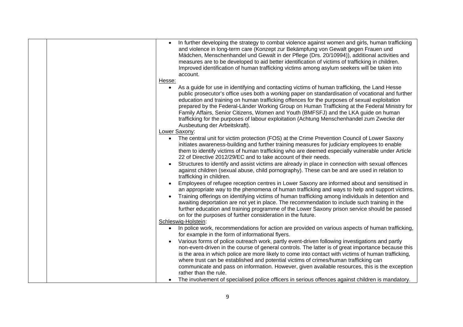| In further developing the strategy to combat violence against women and girls, human trafficking<br>and violence in long-term care (Konzept zur Bekämpfung von Gewalt gegen Frauen und<br>Mädchen, Menschenhandel und Gewalt in der Pflege (Drs. 20/10994)), additional activities and<br>measures are to be developed to aid better identification of victims of trafficking in children.<br>Improved identification of human trafficking victims among asylum seekers will be taken into<br>account.<br>Hesse:<br>As a guide for use in identifying and contacting victims of human trafficking, the Land Hesse<br>public prosecutor's office uses both a working paper on standardisation of vocational and further<br>education and training on human trafficking offences for the purposes of sexual exploitation<br>prepared by the Federal-Länder Working Group on Human Trafficking at the Federal Ministry for<br>Family Affairs, Senior Citizens, Women and Youth (BMFSFJ) and the LKA guide on human<br>trafficking for the purposes of labour exploitation (Achtung Menschenhandel zum Zwecke der<br>Ausbeutung der Arbeitskraft).                                                                                                                                                                                                                                                                                                                                                                                                                                                                                                                                                                                                                                                                                                                                                              |
|-------------------------------------------------------------------------------------------------------------------------------------------------------------------------------------------------------------------------------------------------------------------------------------------------------------------------------------------------------------------------------------------------------------------------------------------------------------------------------------------------------------------------------------------------------------------------------------------------------------------------------------------------------------------------------------------------------------------------------------------------------------------------------------------------------------------------------------------------------------------------------------------------------------------------------------------------------------------------------------------------------------------------------------------------------------------------------------------------------------------------------------------------------------------------------------------------------------------------------------------------------------------------------------------------------------------------------------------------------------------------------------------------------------------------------------------------------------------------------------------------------------------------------------------------------------------------------------------------------------------------------------------------------------------------------------------------------------------------------------------------------------------------------------------------------------------------------------------------------------------------------------------------------------|
| Lower Saxony:<br>The central unit for victim protection (FOS) at the Crime Prevention Council of Lower Saxony<br>initiates awareness-building and further training measures for judiciary employees to enable<br>them to identify victims of human trafficking who are deemed especially vulnerable under Article<br>22 of Directive 2012/29/EC and to take account of their needs.<br>Structures to identify and assist victims are already in place in connection with sexual offences<br>against children (sexual abuse, child pornography). These can be and are used in relation to<br>trafficking in children.<br>Employees of refugee reception centres in Lower Saxony are informed about and sensitised in<br>an appropriate way to the phenomena of human trafficking and ways to help and support victims.<br>Training offerings on identifying victims of human trafficking among individuals in detention and<br>awaiting deportation are not yet in place. The recommendation to include such training in the<br>further education and training programme of the Lower Saxony prison service should be passed<br>on for the purposes of further consideration in the future.<br>Schleswig-Holstein:<br>In police work, recommendations for action are provided on various aspects of human trafficking,<br>for example in the form of informational flyers.<br>Various forms of police outreach work, partly event-driven following investigations and partly<br>non-event-driven in the course of general controls. The latter is of great importance because this<br>is the area in which police are more likely to come into contact with victims of human trafficking,<br>where trust can be established and potential victims of crimes/human trafficking can<br>communicate and pass on information. However, given available resources, this is the exception<br>rather than the rule. |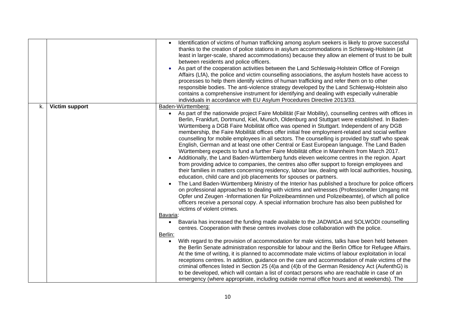|    |                       | Identification of victims of human trafficking among asylum seekers is likely to prove successful<br>thanks to the creation of police stations in asylum accommodations in Schleswig-Holstein (at<br>least in larger-scale, shared accommodations) because they allow an element of trust to be built<br>between residents and police officers.<br>As part of the cooperation activities between the Land Schleswig-Holstein Office of Foreign<br>Affairs (LfA), the police and victim counselling associations, the asylum hostels have access to<br>processes to help them identify victims of human trafficking and refer them on to other<br>responsible bodies. The anti-violence strategy developed by the Land Schleswig-Holstein also<br>contains a comprehensive instrument for identifying and dealing with especially vulnerable<br>individuals in accordance with EU Asylum Procedures Directive 2013/33.                                                                                                                                                                                                                                                                                                                                                                                                                                                                                                                                                                                                                               |
|----|-----------------------|-----------------------------------------------------------------------------------------------------------------------------------------------------------------------------------------------------------------------------------------------------------------------------------------------------------------------------------------------------------------------------------------------------------------------------------------------------------------------------------------------------------------------------------------------------------------------------------------------------------------------------------------------------------------------------------------------------------------------------------------------------------------------------------------------------------------------------------------------------------------------------------------------------------------------------------------------------------------------------------------------------------------------------------------------------------------------------------------------------------------------------------------------------------------------------------------------------------------------------------------------------------------------------------------------------------------------------------------------------------------------------------------------------------------------------------------------------------------------------------------------------------------------------------------------------|
| k. | <b>Victim support</b> | Baden-Württemberg:<br>As part of the nationwide project Faire Mobilität (Fair Mobility), counselling centres with offices in<br>Berlin, Frankfurt, Dortmund, Kiel, Munich, Oldenburg and Stuttgart were established. In Baden-<br>Württemberg a DGB Faire Mobilität office was opened in Stuttgart. Independent of any DGB<br>membership, the Faire Mobilität offices offer initial free employment-related and social welfare<br>counselling for mobile employees in all sectors. The counselling is provided by staff who speak<br>English, German and at least one other Central or East European language. The Land Baden<br>Württemberg expects to fund a further Faire Mobilität office in Mannheim from March 2017.<br>Additionally, the Land Baden-Württemberg funds eleven welcome centres in the region. Apart<br>from providing advice to companies, the centres also offer support to foreign employees and<br>their families in matters concerning residency, labour law, dealing with local authorities, housing,<br>education, child care and job placements for spouses or partners.<br>The Land Baden-Württemberg Ministry of the Interior has published a brochure for police officers<br>on professional approaches to dealing with victims and witnesses (Professioneller Umgang mit<br>Opfer und Zeugen -Informationen für Polizeibeamtinnen und Polizeibeamte), of which all police<br>officers receive a personal copy. A special information brochure has also been published for<br>victims of violent crimes.<br>Bavaria: |
|    |                       | Bavaria has increased the funding made available to the JADWIGA and SOLWODI counselling<br>$\bullet$<br>centres. Cooperation with these centres involves close collaboration with the police.<br>Berlin:<br>With regard to the provision of accommodation for male victims, talks have been held between                                                                                                                                                                                                                                                                                                                                                                                                                                                                                                                                                                                                                                                                                                                                                                                                                                                                                                                                                                                                                                                                                                                                                                                                                                            |
|    |                       | the Berlin Senate administration responsible for labour and the Berlin Office for Refugee Affairs.<br>At the time of writing, it is planned to accommodate male victims of labour exploitation in local<br>receptions centres. In addition, guidance on the care and accommodation of male victims of the<br>criminal offences listed in Section 25 (4)a and (4)b of the German Residency Act (AufenthG) is<br>to be developed, which will contain a list of contact persons who are reachable in case of an<br>emergency (where appropriate, including outside normal office hours and at weekends). The                                                                                                                                                                                                                                                                                                                                                                                                                                                                                                                                                                                                                                                                                                                                                                                                                                                                                                                                           |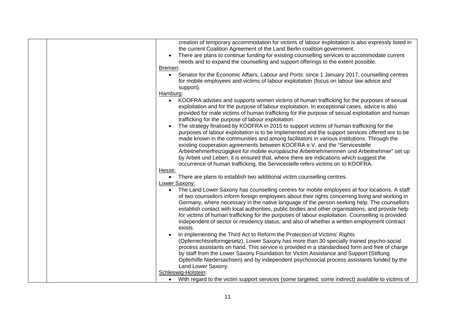| creation of temporary accommodation for victims of labour exploitation is also expressly listed in<br>the current Coalition Agreement of the Land Berlin coalition government.                                                                                                                                                                                                                                                                                                                                                                                                                                                                     |
|----------------------------------------------------------------------------------------------------------------------------------------------------------------------------------------------------------------------------------------------------------------------------------------------------------------------------------------------------------------------------------------------------------------------------------------------------------------------------------------------------------------------------------------------------------------------------------------------------------------------------------------------------|
| There are plans to continue funding for existing counselling services to accommodate current<br>needs and to expand the counselling and support offerings to the extent possible.                                                                                                                                                                                                                                                                                                                                                                                                                                                                  |
| Bremen:                                                                                                                                                                                                                                                                                                                                                                                                                                                                                                                                                                                                                                            |
| Senator for the Economic Affairs, Labour and Ports: since 1 January 2017, counselling centres<br>$\bullet$                                                                                                                                                                                                                                                                                                                                                                                                                                                                                                                                         |
| for mobile employees and victims of labour exploitation (focus on labour law advice and<br>support).                                                                                                                                                                                                                                                                                                                                                                                                                                                                                                                                               |
| Hamburg:                                                                                                                                                                                                                                                                                                                                                                                                                                                                                                                                                                                                                                           |
| KOOFRA advises and supports women victims of human trafficking for the purposes of sexual<br>$\bullet$<br>exploitation and for the purpose of labour exploitation. In exceptional cases, advice is also<br>provided for male victims of human trafficking for the purpose of sexual exploitation and human<br>trafficking for the purpose of labour exploitation.                                                                                                                                                                                                                                                                                  |
| The strategy finalised by KOOFRA in 2015 to support victims of human trafficking for the<br>purposes of labour exploitation is to be implemented and the support services offered are to be<br>made known in the communities and among facilitators in various institutions. Through the<br>existing cooperation agreements between KOOFRA e.V. and the "Servicestelle<br>Arbeitnehmerfreizügigkeit für mobile europäische Arbeitnehmerinnen und Arbeitnehmer" set up<br>by Arbeit und Leben, it is ensured that, where there are indications which suggest the<br>occurrence of human trafficking, the Servicestelle refers victims on to KOOFRA. |
| Hesse:                                                                                                                                                                                                                                                                                                                                                                                                                                                                                                                                                                                                                                             |
| There are plans to establish two additional victim counselling centres.<br>$\bullet$                                                                                                                                                                                                                                                                                                                                                                                                                                                                                                                                                               |
| Lower Saxony:                                                                                                                                                                                                                                                                                                                                                                                                                                                                                                                                                                                                                                      |
| The Land Lower Saxony has counselling centres for mobile employees at four locations. A staff                                                                                                                                                                                                                                                                                                                                                                                                                                                                                                                                                      |
| of two counsellors inform foreign employees about their rights concerning living and working in<br>Germany, where necessary in the native language of the person seeking help. The counsellors<br>establish contact with local authorities, public bodies and other organisations, and provide help<br>for victims of human trafficking for the purposes of labour exploitation. Counselling is provided<br>independent of sector or residency status, and also of whether a written employment contract<br>exists.                                                                                                                                |
| In implementing the Third Act to Reform the Protection of Victims' Rights<br>(Opferrechtsreformgesetz), Lower Saxony has more than 30 specially trained psycho-social                                                                                                                                                                                                                                                                                                                                                                                                                                                                              |
| process assistants on hand. This service is provided in a standardised form and free of charge                                                                                                                                                                                                                                                                                                                                                                                                                                                                                                                                                     |
| by staff from the Lower Saxony Foundation for Victim Assistance and Support (Stiftung                                                                                                                                                                                                                                                                                                                                                                                                                                                                                                                                                              |
| Opferhilfe Niedersachsen) and by independent psychosocial process assistants funded by the                                                                                                                                                                                                                                                                                                                                                                                                                                                                                                                                                         |
| Land Lower Saxony.                                                                                                                                                                                                                                                                                                                                                                                                                                                                                                                                                                                                                                 |
| Schleswig-Holstein:                                                                                                                                                                                                                                                                                                                                                                                                                                                                                                                                                                                                                                |
| With regard to the victim support services (some targeted, some indirect) available to victims of<br>$\bullet$                                                                                                                                                                                                                                                                                                                                                                                                                                                                                                                                     |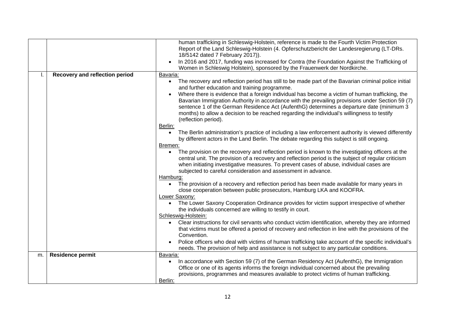|    |                                | human trafficking in Schleswig-Holstein, reference is made to the Fourth Victim Protection<br>Report of the Land Schleswig-Holstein (4. Opferschutzbericht der Landesregierung (LT-DRs.<br>18/5142 dated 7 February 2017)).<br>In 2016 and 2017, funding was increased for Contra (the Foundation Against the Trafficking of<br>Women in Schleswig Holstein), sponsored by the Frauenwerk der Nordkirche.                                                                                                                                                                                                                                                                                                                                                                                                                                                                                                                                                                                                                                                                                                                                                                                                                                                                                                                                                                                                                                                                                                                                                                                                                                                                                                                                                                                                                                                                                                                                                          |
|----|--------------------------------|--------------------------------------------------------------------------------------------------------------------------------------------------------------------------------------------------------------------------------------------------------------------------------------------------------------------------------------------------------------------------------------------------------------------------------------------------------------------------------------------------------------------------------------------------------------------------------------------------------------------------------------------------------------------------------------------------------------------------------------------------------------------------------------------------------------------------------------------------------------------------------------------------------------------------------------------------------------------------------------------------------------------------------------------------------------------------------------------------------------------------------------------------------------------------------------------------------------------------------------------------------------------------------------------------------------------------------------------------------------------------------------------------------------------------------------------------------------------------------------------------------------------------------------------------------------------------------------------------------------------------------------------------------------------------------------------------------------------------------------------------------------------------------------------------------------------------------------------------------------------------------------------------------------------------------------------------------------------|
|    | Recovery and reflection period | Bavaria:<br>The recovery and reflection period has still to be made part of the Bavarian criminal police initial<br>$\bullet$<br>and further education and training programme.<br>Where there is evidence that a foreign individual has become a victim of human trafficking, the<br>Bavarian Immigration Authority in accordance with the prevailing provisions under Section 59 (7)<br>sentence 1 of the German Residence Act (AufenthG) determines a departure date (minimum 3<br>months) to allow a decision to be reached regarding the individual's willingness to testify<br>(reflection period).<br>Berlin:<br>The Berlin administration's practice of including a law enforcement authority is viewed differently<br>$\bullet$<br>by different actors in the Land Berlin. The debate regarding this subject is still ongoing.<br>Bremen:<br>The provision on the recovery and reflection period is known to the investigating officers at the<br>central unit. The provision of a recovery and reflection period is the subject of regular criticism<br>when initiating investigative measures. To prevent cases of abuse, individual cases are<br>subjected to careful consideration and assessment in advance.<br>Hamburg:<br>The provision of a recovery and reflection period has been made available for many years in<br>$\bullet$<br>close cooperation between public prosecutors, Hamburg LKA and KOOFRA.<br>Lower Saxony:<br>The Lower Saxony Cooperation Ordinance provides for victim support irrespective of whether<br>the individuals concerned are willing to testify in court.<br>Schleswig-Holstein:<br>Clear instructions for civil servants who conduct victim identification, whereby they are informed<br>that victims must be offered a period of recovery and reflection in line with the provisions of the<br>Convention.<br>Police officers who deal with victims of human trafficking take account of the specific individual's |
| m. | <b>Residence permit</b>        | needs. The provision of help and assistance is not subject to any particular conditions.<br>Bavaria:                                                                                                                                                                                                                                                                                                                                                                                                                                                                                                                                                                                                                                                                                                                                                                                                                                                                                                                                                                                                                                                                                                                                                                                                                                                                                                                                                                                                                                                                                                                                                                                                                                                                                                                                                                                                                                                               |
|    |                                | In accordance with Section 59 (7) of the German Residency Act (AufenthG), the Immigration<br>Office or one of its agents informs the foreign individual concerned about the prevailing<br>provisions, programmes and measures available to protect victims of human trafficking.<br>Berlin:                                                                                                                                                                                                                                                                                                                                                                                                                                                                                                                                                                                                                                                                                                                                                                                                                                                                                                                                                                                                                                                                                                                                                                                                                                                                                                                                                                                                                                                                                                                                                                                                                                                                        |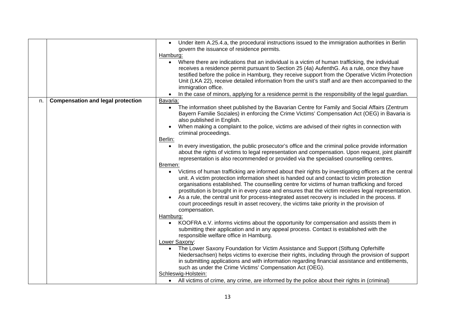| Where there are indications that an individual is a victim of human trafficking, the individual<br>receives a residence permit pursuant to Section 25 (4a) AufenthG. As a rule, once they have<br>testified before the police in Hamburg, they receive support from the Operative Victim Protection<br>Unit (LKA 22), receive detailed information from the unit's staff and are then accompanied to the<br>immigration office.<br>In the case of minors, applying for a residence permit is the responsibility of the legal guardian.                                                                                                                                                                                                                                                                                                                                                                                                                                                                                                                                                                                                                                                                                                                                                                                                                                                                                                                                                                                                                                                                                                                                                                                                                                                                                                                                                                                                                                                                                                                                                                                                         |  |
|------------------------------------------------------------------------------------------------------------------------------------------------------------------------------------------------------------------------------------------------------------------------------------------------------------------------------------------------------------------------------------------------------------------------------------------------------------------------------------------------------------------------------------------------------------------------------------------------------------------------------------------------------------------------------------------------------------------------------------------------------------------------------------------------------------------------------------------------------------------------------------------------------------------------------------------------------------------------------------------------------------------------------------------------------------------------------------------------------------------------------------------------------------------------------------------------------------------------------------------------------------------------------------------------------------------------------------------------------------------------------------------------------------------------------------------------------------------------------------------------------------------------------------------------------------------------------------------------------------------------------------------------------------------------------------------------------------------------------------------------------------------------------------------------------------------------------------------------------------------------------------------------------------------------------------------------------------------------------------------------------------------------------------------------------------------------------------------------------------------------------------------------|--|
| <b>Compensation and legal protection</b><br>Bavaria:<br>n.<br>The information sheet published by the Bavarian Centre for Family and Social Affairs (Zentrum<br>$\bullet$<br>Bayern Familie Soziales) in enforcing the Crime Victims' Compensation Act (OEG) in Bavaria is<br>also published in English.<br>When making a complaint to the police, victims are advised of their rights in connection with<br>criminal proceedings.<br>Berlin:<br>In every investigation, the public prosecutor's office and the criminal police provide information<br>about the rights of victims to legal representation and compensation. Upon request, joint plaintiff<br>representation is also recommended or provided via the specialised counselling centres.<br>Bremen:<br>Victims of human trafficking are informed about their rights by investigating officers at the central<br>unit. A victim protection information sheet is handed out and contact to victim protection<br>organisations established. The counselling centre for victims of human trafficking and forced<br>prostitution is brought in in every case and ensures that the victim receives legal representation.<br>As a rule, the central unit for process-integrated asset recovery is included in the process. If<br>court proceedings result in asset recovery, the victims take priority in the provision of<br>compensation.<br>Hamburg:<br>KOOFRA e.V. informs victims about the opportunity for compensation and assists them in<br>submitting their application and in any appeal process. Contact is established with the<br>responsible welfare office in Hamburg.<br>Lower Saxony:<br>The Lower Saxony Foundation for Victim Assistance and Support (Stiftung Opferhilfe<br>Niedersachsen) helps victims to exercise their rights, including through the provision of support<br>in submitting applications and with information regarding financial assistance and entitlements,<br>such as under the Crime Victims' Compensation Act (OEG).<br>Schleswig-Holstein:<br>All victims of crime, any crime, are informed by the police about their rights in (criminal) |  |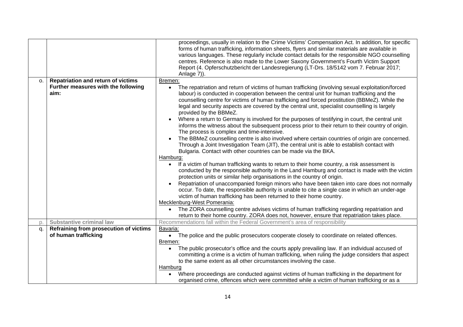|                |                                                                                          | proceedings, usually in relation to the Crime Victims' Compensation Act. In addition, for specific<br>forms of human trafficking, information sheets, flyers and similar materials are available in<br>various languages. These regularly include contact details for the responsible NGO counselling<br>centres. Reference is also made to the Lower Saxony Government's Fourth Victim Support<br>Report (4. Opferschutzbericht der Landesregierung (LT-Drs. 18/5142 vom 7. Februar 2017;<br>Anlage 7)).                                                                                                                                                                                                                                                                                                                                                                                                                                                                                                                                                                                                                                                                                                                                                                                                                                                                                                                                                                                                                                                                                                                                                                                        |
|----------------|------------------------------------------------------------------------------------------|--------------------------------------------------------------------------------------------------------------------------------------------------------------------------------------------------------------------------------------------------------------------------------------------------------------------------------------------------------------------------------------------------------------------------------------------------------------------------------------------------------------------------------------------------------------------------------------------------------------------------------------------------------------------------------------------------------------------------------------------------------------------------------------------------------------------------------------------------------------------------------------------------------------------------------------------------------------------------------------------------------------------------------------------------------------------------------------------------------------------------------------------------------------------------------------------------------------------------------------------------------------------------------------------------------------------------------------------------------------------------------------------------------------------------------------------------------------------------------------------------------------------------------------------------------------------------------------------------------------------------------------------------------------------------------------------------|
| O <sub>1</sub> | <b>Repatriation and return of victims</b><br>Further measures with the following<br>aim: | Bremen:<br>The repatriation and return of victims of human trafficking (involving sexual exploitation/forced<br>$\bullet$<br>labour) is conducted in cooperation between the central unit for human trafficking and the<br>counselling centre for victims of human trafficking and forced prostitution (BBMeZ). While the<br>legal and security aspects are covered by the central unit, specialist counselling is largely<br>provided by the BBMeZ.<br>Where a return to Germany is involved for the purposes of testifying in court, the central unit<br>informs the witness about the subsequent process prior to their return to their country of origin.<br>The process is complex and time-intensive.<br>The BBMeZ counselling centre is also involved where certain countries of origin are concerned.<br>Through a Joint Investigation Team (JIT), the central unit is able to establish contact with<br>Bulgaria. Contact with other countries can be made via the BKA.<br>Hamburg:<br>If a victim of human trafficking wants to return to their home country, a risk assessment is<br>$\bullet$<br>conducted by the responsible authority in the Land Hamburg and contact is made with the victim<br>protection units or similar help organisations in the country of origin.<br>Repatriation of unaccompanied foreign minors who have been taken into care does not normally<br>occur. To date, the responsible authority is unable to cite a single case in which an under-age<br>victim of human trafficking has been returned to their home country.<br>Mecklenburg-West Pomerania:<br>The ZORA counselling centre advises victims of human trafficking regarding repatriation and |
| D.             | <b>Substantive criminal law</b>                                                          | return to their home country. ZORA does not, however, ensure that repatriation takes place.<br>Recommendations fall within the Federal Government's area of responsibility                                                                                                                                                                                                                                                                                                                                                                                                                                                                                                                                                                                                                                                                                                                                                                                                                                                                                                                                                                                                                                                                                                                                                                                                                                                                                                                                                                                                                                                                                                                       |
| q.             | Refraining from prosecution of victims<br>of human trafficking                           | Bavaria:<br>• The police and the public prosecutors cooperate closely to coordinate on related offences.<br>Bremen:<br>The public prosecutor's office and the courts apply prevailing law. If an individual accused of<br>committing a crime is a victim of human trafficking, when ruling the judge considers that aspect<br>to the same extent as all other circumstances involving the case.<br>Hamburg                                                                                                                                                                                                                                                                                                                                                                                                                                                                                                                                                                                                                                                                                                                                                                                                                                                                                                                                                                                                                                                                                                                                                                                                                                                                                       |
|                |                                                                                          | Where proceedings are conducted against victims of human trafficking in the department for<br>$\bullet$<br>organised crime, offences which were committed while a victim of human trafficking or as a                                                                                                                                                                                                                                                                                                                                                                                                                                                                                                                                                                                                                                                                                                                                                                                                                                                                                                                                                                                                                                                                                                                                                                                                                                                                                                                                                                                                                                                                                            |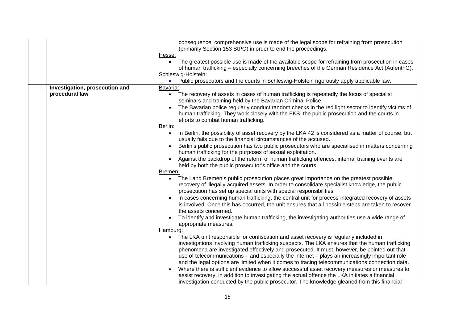|    |                                | consequence, comprehensive use is made of the legal scope for refraining from prosecution                        |
|----|--------------------------------|------------------------------------------------------------------------------------------------------------------|
|    |                                | (primarily Section 153 StPO) in order to end the proceedings.                                                    |
|    |                                | Hesse:                                                                                                           |
|    |                                | The greatest possible use is made of the available scope for refraining from prosecution in cases<br>$\bullet$   |
|    |                                | of human trafficking – especially concerning breeches of the German Residence Act (AufenthG).                    |
|    |                                | Schleswig-Holstein:                                                                                              |
|    |                                | • Public prosecutors and the courts in Schleswig-Holstein rigorously apply applicable law.                       |
| r. | Investigation, prosecution and | Bavaria:                                                                                                         |
|    | procedural law                 | The recovery of assets in cases of human trafficking is repeatedly the focus of specialist<br>$\bullet$          |
|    |                                | seminars and training held by the Bavarian Criminal Police.                                                      |
|    |                                | The Bavarian police regularly conduct random checks in the red light sector to identify victims of               |
|    |                                | human trafficking. They work closely with the FKS, the public prosecution and the courts in                      |
|    |                                | efforts to combat human trafficking.                                                                             |
|    |                                | Berlin:                                                                                                          |
|    |                                | In Berlin, the possibility of asset recovery by the LKA 42 is considered as a matter of course, but<br>$\bullet$ |
|    |                                | usually fails due to the financial circumstances of the accused.                                                 |
|    |                                | Berlin's public prosecution has two public prosecutors who are specialised in matters concerning                 |
|    |                                | human trafficking for the purposes of sexual exploitation.                                                       |
|    |                                | Against the backdrop of the reform of human trafficking offences, internal training events are                   |
|    |                                | held by both the public prosecutor's office and the courts.                                                      |
|    |                                | Bremen:                                                                                                          |
|    |                                | The Land Bremen's public prosecution places great importance on the greatest possible                            |
|    |                                | recovery of illegally acquired assets. In order to consolidate specialist knowledge, the public                  |
|    |                                | prosecution has set up special units with special responsibilities.                                              |
|    |                                | In cases concerning human trafficking, the central unit for process-integrated recovery of assets                |
|    |                                | is involved. Once this has occurred, the unit ensures that all possible steps are taken to recover               |
|    |                                | the assets concerned.                                                                                            |
|    |                                | To identify and investigate human trafficking, the investigating authorities use a wide range of                 |
|    |                                | appropriate measures.                                                                                            |
|    |                                | Hamburg:                                                                                                         |
|    |                                | The LKA unit responsible for confiscation and asset recovery is regularly included in                            |
|    |                                | investigations involving human trafficking suspects. The LKA ensures that the human trafficking                  |
|    |                                | phenomena are investigated effectively and prosecuted. It must, however, be pointed out that                     |
|    |                                | use of telecommunications - and especially the internet - plays an increasingly important role                   |
|    |                                | and the legal options are limited when it comes to tracing telecommunications connection data.                   |
|    |                                | Where there is sufficient evidence to allow successful asset recovery measures or measures to                    |
|    |                                | assist recovery, in addition to investigating the actual offence the LKA initiates a financial                   |
|    |                                | investigation conducted by the public prosecutor. The knowledge gleaned from this financial                      |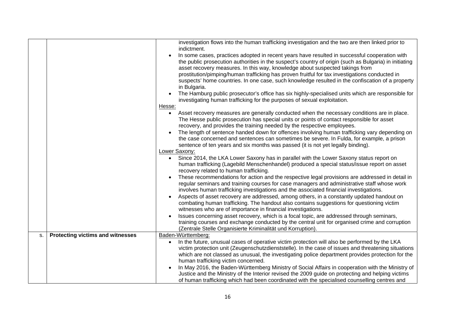|    |                                         | investigation flows into the human trafficking investigation and the two are then linked prior to<br>indictment.                                                                                                                                                    |
|----|-----------------------------------------|---------------------------------------------------------------------------------------------------------------------------------------------------------------------------------------------------------------------------------------------------------------------|
|    |                                         | In some cases, practices adopted in recent years have resulted in successful cooperation with                                                                                                                                                                       |
|    |                                         | the public prosecution authorities in the suspect's country of origin (such as Bulgaria) in initiating                                                                                                                                                              |
|    |                                         | asset recovery measures. In this way, knowledge about suspected takings from<br>prostitution/pimping/human trafficking has proven fruitful for tax investigations conducted in                                                                                      |
|    |                                         | suspects' home countries. In one case, such knowledge resulted in the confiscation of a property<br>in Bulgaria.                                                                                                                                                    |
|    |                                         | The Hamburg public prosecutor's office has six highly-specialised units which are responsible for<br>investigating human trafficking for the purposes of sexual exploitation.                                                                                       |
|    |                                         | Hesse:                                                                                                                                                                                                                                                              |
|    |                                         | Asset recovery measures are generally conducted when the necessary conditions are in place.<br>The Hesse public prosecution has special units or points of contact responsible for asset<br>recovery, and provides the training needed by the respective employees. |
|    |                                         | The length of sentence handed down for offences involving human trafficking vary depending on                                                                                                                                                                       |
|    |                                         | the case concerned and sentences can sometimes be severe. In Fulda, for example, a prison                                                                                                                                                                           |
|    |                                         | sentence of ten years and six months was passed (it is not yet legally binding).<br>Lower Saxony:                                                                                                                                                                   |
|    |                                         | Since 2014, the LKA Lower Saxony has in parallel with the Lower Saxony status report on<br>$\bullet$                                                                                                                                                                |
|    |                                         | human trafficking (Lagebild Menschenhandel) produced a special status/issue report on asset<br>recovery related to human trafficking.                                                                                                                               |
|    |                                         | These recommendations for action and the respective legal provisions are addressed in detail in<br>regular seminars and training courses for case managers and administrative staff whose work                                                                      |
|    |                                         | involves human trafficking investigations and the associated financial investigations.                                                                                                                                                                              |
|    |                                         | Aspects of asset recovery are addressed, among others, in a constantly updated handout on<br>combating human trafficking. The handout also contains suggestions for questioning victim<br>witnesses who are of importance in financial investigations.              |
|    |                                         | Issues concerning asset recovery, which is a focal topic, are addressed through seminars,                                                                                                                                                                           |
|    |                                         | training courses and exchange conducted by the central unit for organised crime and corruption                                                                                                                                                                      |
|    |                                         | (Zentrale Stelle Organisierte Kriminalität und Korruption).                                                                                                                                                                                                         |
| S. | <b>Protecting victims and witnesses</b> | Baden-Württemberg:                                                                                                                                                                                                                                                  |
|    |                                         | In the future, unusual cases of operative victim protection will also be performed by the LKA<br>victim protection unit (Zeugenschutzdienststelle). In the case of issues and threatening situations                                                                |
|    |                                         | which are not classed as unusual, the investigating police department provides protection for the                                                                                                                                                                   |
|    |                                         | human trafficking victim concerned.                                                                                                                                                                                                                                 |
|    |                                         | In May 2016, the Baden-Württemberg Ministry of Social Affairs in cooperation with the Ministry of                                                                                                                                                                   |
|    |                                         | Justice and the Ministry of the Interior revised the 2009 guide on protecting and helping victims<br>of human trafficking which had been coordinated with the specialised counselling centres and                                                                   |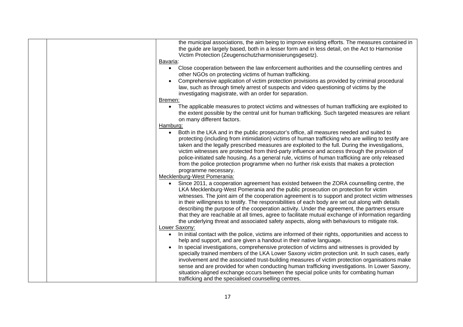| Bavaria:  | the municipal associations, the aim being to improve existing efforts. The measures contained in<br>the guide are largely based, both in a lesser form and in less detail, on the Act to Harmonise<br>Victim Protection (Zeugenschutzharmonisierungsgesetz).                                                                                                                                                                                                                                                                                                                                                                                                                                  |
|-----------|-----------------------------------------------------------------------------------------------------------------------------------------------------------------------------------------------------------------------------------------------------------------------------------------------------------------------------------------------------------------------------------------------------------------------------------------------------------------------------------------------------------------------------------------------------------------------------------------------------------------------------------------------------------------------------------------------|
| $\bullet$ | Close cooperation between the law enforcement authorities and the counselling centres and<br>other NGOs on protecting victims of human trafficking.<br>Comprehensive application of victim protection provisions as provided by criminal procedural<br>law, such as through timely arrest of suspects and video questioning of victims by the<br>investigating magistrate, with an order for separation.                                                                                                                                                                                                                                                                                      |
| Bremen:   |                                                                                                                                                                                                                                                                                                                                                                                                                                                                                                                                                                                                                                                                                               |
| $\bullet$ | The applicable measures to protect victims and witnesses of human trafficking are exploited to<br>the extent possible by the central unit for human trafficking. Such targeted measures are reliant<br>on many different factors.                                                                                                                                                                                                                                                                                                                                                                                                                                                             |
| Hamburg:  |                                                                                                                                                                                                                                                                                                                                                                                                                                                                                                                                                                                                                                                                                               |
| $\bullet$ | Both in the LKA and in the public prosecutor's office, all measures needed and suited to<br>protecting (including from intimidation) victims of human trafficking who are willing to testify are<br>taken and the legally prescribed measures are exploited to the full. During the investigations,<br>victim witnesses are protected from third-party influence and access through the provision of<br>police-initiated safe housing. As a general rule, victims of human trafficking are only released<br>from the police protection programme when no further risk exists that makes a protection<br>programme necessary.                                                                  |
|           | Mecklenburg-West Pomerania:                                                                                                                                                                                                                                                                                                                                                                                                                                                                                                                                                                                                                                                                   |
|           | Since 2011, a cooperation agreement has existed between the ZORA counselling centre, the<br>LKA Mecklenburg-West Pomerania and the public prosecution on protection for victim<br>witnesses. The joint aim of the cooperation agreement is to support and protect victim witnesses<br>in their willingness to testify. The responsibilities of each body are set out along with details<br>describing the purpose of the cooperation activity. Under the agreement, the partners ensure<br>that they are reachable at all times, agree to facilitate mutual exchange of information regarding<br>the underlying threat and associated safety aspects, along with behaviours to mitigate risk. |
|           | Lower Saxony:                                                                                                                                                                                                                                                                                                                                                                                                                                                                                                                                                                                                                                                                                 |
| $\bullet$ | In initial contact with the police, victims are informed of their rights, opportunities and access to<br>help and support, and are given a handout in their native language.<br>In special investigations, comprehensive protection of victims and witnesses is provided by<br>specially trained members of the LKA Lower Saxony victim protection unit. In such cases, early<br>involvement and the associated trust-building measures of victim protection organisations make<br>sense and are provided for when conducting human trafficking investigations. In Lower Saxony,                                                                                                              |
|           | situation-aligned exchange occurs between the special police units for combating human<br>trafficking and the specialised counselling centres.                                                                                                                                                                                                                                                                                                                                                                                                                                                                                                                                                |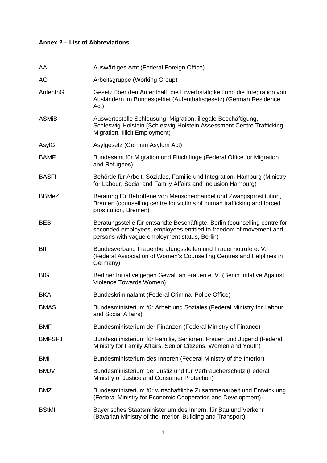## **Annex 2 – List of Abbreviations**

| AA            | Auswärtiges Amt (Federal Foreign Office)                                                                                                                                                         |
|---------------|--------------------------------------------------------------------------------------------------------------------------------------------------------------------------------------------------|
| AG            | Arbeitsgruppe (Working Group)                                                                                                                                                                    |
| AufenthG      | Gesetz über den Aufenthalt, die Erwerbstätigkeit und die Integration von<br>Ausländern im Bundesgebiet (Aufenthaltsgesetz) (German Residence<br>Act)                                             |
| <b>ASMiB</b>  | Auswertestelle Schleusung, Migration, illegale Beschäftigung,<br>Schleswig-Holstein (Schleswig-Holstein Assessment Centre Trafficking,<br>Migration, Illicit Employment)                         |
| AsylG         | Asylgesetz (German Asylum Act)                                                                                                                                                                   |
| <b>BAMF</b>   | Bundesamt für Migration und Flüchtlinge (Federal Office for Migration<br>and Refugees)                                                                                                           |
| <b>BASFI</b>  | Behörde für Arbeit, Soziales, Familie und Integration, Hamburg (Ministry<br>for Labour, Social and Family Affairs and Inclusion Hamburg)                                                         |
| <b>BBMeZ</b>  | Beratung für Betroffene von Menschenhandel und Zwangsprostitution,<br>Bremen (counselling centre for victims of human trafficking and forced<br>prostitution, Bremen)                            |
| <b>BEB</b>    | Beratungsstelle für entsandte Beschäftigte, Berlin (counselling centre for<br>seconded employees, employees entitled to freedom of movement and<br>persons with vague employment status, Berlin) |
| Bff           | Bundesverband Frauenberatungsstellen und Frauennotrufe e. V.<br>(Federal Association of Women's Counselling Centres and Helplines in<br>Germany)                                                 |
| <b>BIG</b>    | Berliner Initiative gegen Gewalt an Frauen e. V. (Berlin Initative Against<br>Violence Towards Women)                                                                                            |
| <b>BKA</b>    | Bundeskriminalamt (Federal Criminal Police Office)                                                                                                                                               |
| <b>BMAS</b>   | Bundesministerium für Arbeit und Soziales (Federal Ministry for Labour<br>and Social Affairs)                                                                                                    |
| BMF           | Bundesministerium der Finanzen (Federal Ministry of Finance)                                                                                                                                     |
| <b>BMFSFJ</b> | Bundesministerium für Familie, Senioren, Frauen und Jugend (Federal<br>Ministry for Family Affairs, Senior Citizens, Women and Youth)                                                            |
| <b>BMI</b>    | Bundesministerium des Inneren (Federal Ministry of the Interior)                                                                                                                                 |
| <b>BMJV</b>   | Bundesministerium der Justiz und für Verbraucherschutz (Federal<br>Ministry of Justice and Consumer Protection)                                                                                  |
| <b>BMZ</b>    | Bundesministerium für wirtschaftliche Zusammenarbeit und Entwicklung<br>(Federal Ministry for Economic Cooperation and Development)                                                              |
| <b>BStMI</b>  | Bayerisches Staatsministerium des Innern, für Bau und Verkehr<br>(Bavarian Ministry of the Interior, Building and Transport)                                                                     |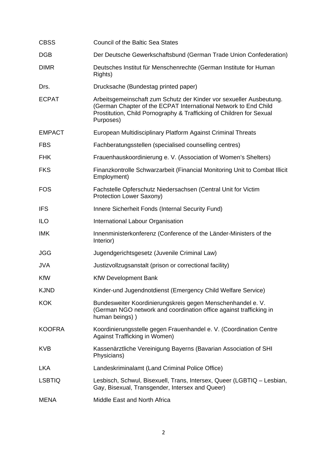| <b>CBSS</b>   | <b>Council of the Baltic Sea States</b>                                                                                                                                                                                     |
|---------------|-----------------------------------------------------------------------------------------------------------------------------------------------------------------------------------------------------------------------------|
| <b>DGB</b>    | Der Deutsche Gewerkschaftsbund (German Trade Union Confederation)                                                                                                                                                           |
| <b>DIMR</b>   | Deutsches Institut für Menschenrechte (German Institute for Human<br>Rights)                                                                                                                                                |
| Drs.          | Drucksache (Bundestag printed paper)                                                                                                                                                                                        |
| <b>ECPAT</b>  | Arbeitsgemeinschaft zum Schutz der Kinder vor sexueller Ausbeutung.<br>(German Chapter of the ECPAT International Network to End Child<br>Prostitution, Child Pornography & Trafficking of Children for Sexual<br>Purposes) |
| <b>EMPACT</b> | European Multidisciplinary Platform Against Criminal Threats                                                                                                                                                                |
| <b>FBS</b>    | Fachberatungsstellen (specialised counselling centres)                                                                                                                                                                      |
| <b>FHK</b>    | Frauenhauskoordinierung e. V. (Association of Women's Shelters)                                                                                                                                                             |
| <b>FKS</b>    | Finanzkontrolle Schwarzarbeit (Financial Monitoring Unit to Combat Illicit<br>Employment)                                                                                                                                   |
| <b>FOS</b>    | Fachstelle Opferschutz Niedersachsen (Central Unit for Victim<br>Protection Lower Saxony)                                                                                                                                   |
| <b>IFS</b>    | Innere Sicherheit Fonds (Internal Security Fund)                                                                                                                                                                            |
| <b>ILO</b>    | International Labour Organisation                                                                                                                                                                                           |
| <b>IMK</b>    | Innenministerkonferenz (Conference of the Länder-Ministers of the<br>Interior)                                                                                                                                              |
| <b>JGG</b>    | Jugendgerichtsgesetz (Juvenile Criminal Law)                                                                                                                                                                                |
| <b>JVA</b>    | Justizvollzugsanstalt (prison or correctional facility)                                                                                                                                                                     |
| <b>KfW</b>    | <b>KfW Development Bank</b>                                                                                                                                                                                                 |
| <b>KJND</b>   | Kinder-und Jugendnotdienst (Emergency Child Welfare Service)                                                                                                                                                                |
| <b>KOK</b>    | Bundesweiter Koordinierungskreis gegen Menschenhandel e. V.<br>(German NGO network and coordination office against trafficking in<br>human beings))                                                                         |
| <b>KOOFRA</b> | Koordinierungsstelle gegen Frauenhandel e. V. (Coordination Centre<br>Against Trafficking in Women)                                                                                                                         |
| <b>KVB</b>    | Kassenärztliche Vereinigung Bayerns (Bavarian Association of SHI<br>Physicians)                                                                                                                                             |
| <b>LKA</b>    | Landeskriminalamt (Land Criminal Police Office)                                                                                                                                                                             |
| <b>LSBTIQ</b> | Lesbisch, Schwul, Bisexuell, Trans, Intersex, Queer (LGBTIQ - Lesbian,<br>Gay, Bisexual, Transgender, Intersex and Queer)                                                                                                   |
| <b>MENA</b>   | Middle East and North Africa                                                                                                                                                                                                |